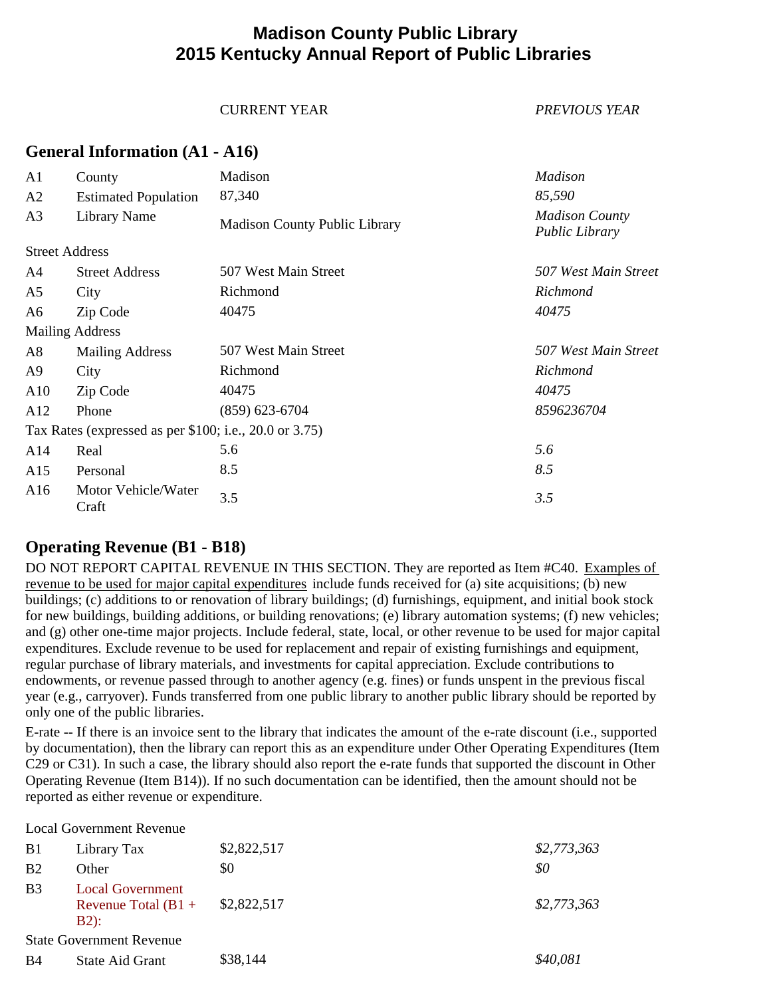# **Madison County Public Library 2015 Kentucky Annual Report of Public Libraries**

#### CURRENT YEAR *PREVIOUS YEAR*

### **General Information (A1 - A16)**

| A <sub>1</sub> | County                                                   | Madison                              | <b>Madison</b>                                 |
|----------------|----------------------------------------------------------|--------------------------------------|------------------------------------------------|
| A2             | <b>Estimated Population</b>                              | 87,340                               | 85,590                                         |
| A <sub>3</sub> | Library Name                                             | <b>Madison County Public Library</b> | <b>Madison County</b><br><b>Public Library</b> |
|                | <b>Street Address</b>                                    |                                      |                                                |
| A4             | <b>Street Address</b>                                    | 507 West Main Street                 | 507 West Main Street                           |
| A5             | City                                                     | Richmond                             | Richmond                                       |
| A6             | Zip Code                                                 | 40475                                | 40475                                          |
|                | <b>Mailing Address</b>                                   |                                      |                                                |
| A8             | <b>Mailing Address</b>                                   | 507 West Main Street                 | 507 West Main Street                           |
| A9             | City                                                     | Richmond                             | Richmond                                       |
| A10            | Zip Code                                                 | 40475                                | 40475                                          |
| A12            | Phone                                                    | $(859)$ 623-6704                     | 8596236704                                     |
|                | Tax Rates (expressed as per $$100$ ; i.e., 20.0 or 3.75) |                                      |                                                |
| A14            | Real                                                     | 5.6                                  | 5.6                                            |
| A15            | Personal                                                 | 8.5                                  | 8.5                                            |
| A16            | Motor Vehicle/Water<br>Craft                             | 3.5                                  | 3.5                                            |

## **Operating Revenue (B1 - B18)**

DO NOT REPORT CAPITAL REVENUE IN THIS SECTION. They are reported as Item #C40. Examples of revenue to be used for major capital expenditures include funds received for (a) site acquisitions; (b) new buildings; (c) additions to or renovation of library buildings; (d) furnishings, equipment, and initial book stock for new buildings, building additions, or building renovations; (e) library automation systems; (f) new vehicles; and (g) other one-time major projects. Include federal, state, local, or other revenue to be used for major capital expenditures. Exclude revenue to be used for replacement and repair of existing furnishings and equipment, regular purchase of library materials, and investments for capital appreciation. Exclude contributions to endowments, or revenue passed through to another agency (e.g. fines) or funds unspent in the previous fiscal year (e.g., carryover). Funds transferred from one public library to another public library should be reported by only one of the public libraries.

E-rate -- If there is an invoice sent to the library that indicates the amount of the e-rate discount (i.e., supported by documentation), then the library can report this as an expenditure under Other Operating Expenditures (Item C29 or C31). In such a case, the library should also report the e-rate funds that supported the discount in Other Operating Revenue (Item B14)). If no such documentation can be identified, then the amount should not be reported as either revenue or expenditure.

Local Government Revenue

| B <sub>1</sub> | Library Tax                                                | \$2,822,517 | \$2,773,363 |
|----------------|------------------------------------------------------------|-------------|-------------|
| B <sub>2</sub> | Other                                                      | \$0         | \$0         |
| B <sub>3</sub> | <b>Local Government</b><br>Revenue Total $(B1 +$<br>$B2$ : | \$2,822,517 | \$2,773,363 |
|                | <b>State Government Revenue</b>                            |             |             |
| B4             | State Aid Grant                                            | \$38,144    | \$40,081    |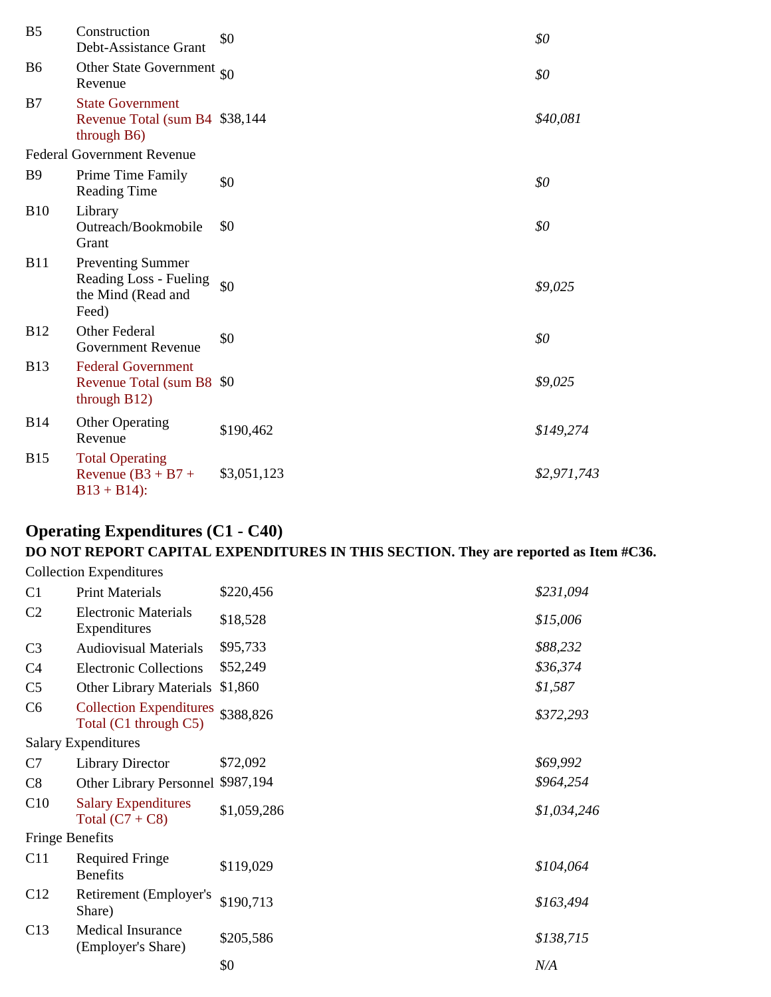| B <sub>5</sub> | Construction<br>Debt-Assistance Grant                                             | \$0         | \$0         |
|----------------|-----------------------------------------------------------------------------------|-------------|-------------|
| B <sub>6</sub> | Other State Government $\frac{1}{90}$<br>Revenue                                  |             | \$0         |
| B7             | <b>State Government</b><br>Revenue Total (sum B4 \$38,144)<br>through B6)         |             | \$40,081    |
|                | <b>Federal Government Revenue</b>                                                 |             |             |
| <b>B</b> 9     | Prime Time Family<br><b>Reading Time</b>                                          | \$0         | \$0         |
| <b>B10</b>     | Library<br>Outreach/Bookmobile<br>Grant                                           | \$0         | \$0         |
| <b>B11</b>     | <b>Preventing Summer</b><br>Reading Loss - Fueling<br>the Mind (Read and<br>Feed) | \$0         | \$9,025     |
| <b>B12</b>     | Other Federal<br><b>Government Revenue</b>                                        | \$0         | \$0         |
| <b>B13</b>     | <b>Federal Government</b><br>Revenue Total (sum B8 \$0)<br>through B12)           |             | \$9,025     |
| <b>B14</b>     | <b>Other Operating</b><br>Revenue                                                 | \$190,462   | \$149,274   |
| <b>B15</b>     | <b>Total Operating</b><br>Revenue $(B3 + B7 +$<br>$B13 + B14$ :                   | \$3,051,123 | \$2,971,743 |
|                |                                                                                   |             |             |

# **Operating Expenditures (C1 - C40)**

# **DO NOT REPORT CAPITAL EXPENDITURES IN THIS SECTION. They are reported as Item #C36.**

|                        | <b>Collection Expenditures</b>                          |             |             |
|------------------------|---------------------------------------------------------|-------------|-------------|
| C <sub>1</sub>         | <b>Print Materials</b>                                  | \$220,456   | \$231,094   |
| C <sub>2</sub>         | <b>Electronic Materials</b><br>Expenditures             | \$18,528    | \$15,006    |
| C <sub>3</sub>         | <b>Audiovisual Materials</b>                            | \$95,733    | \$88,232    |
| C <sub>4</sub>         | <b>Electronic Collections</b>                           | \$52,249    | \$36,374    |
| C <sub>5</sub>         | <b>Other Library Materials</b>                          | \$1,860     | \$1,587     |
| C6                     | <b>Collection Expenditures</b><br>Total (C1 through C5) | \$388,826   | \$372,293   |
|                        | <b>Salary Expenditures</b>                              |             |             |
| C7                     | <b>Library Director</b>                                 | \$72,092    | \$69,992    |
| C8                     | Other Library Personnel \$987,194                       |             | \$964,254   |
| C10                    | <b>Salary Expenditures</b><br>Total $(C7 + C8)$         | \$1,059,286 | \$1,034,246 |
| <b>Fringe Benefits</b> |                                                         |             |             |
| C11                    | <b>Required Fringe</b><br><b>Benefits</b>               | \$119,029   | \$104,064   |
| C12                    | Retirement (Employer's<br>Share)                        | \$190,713   | \$163,494   |
| C13                    | <b>Medical Insurance</b><br>(Employer's Share)          | \$205,586   | \$138,715   |
|                        |                                                         | \$0         | N/A         |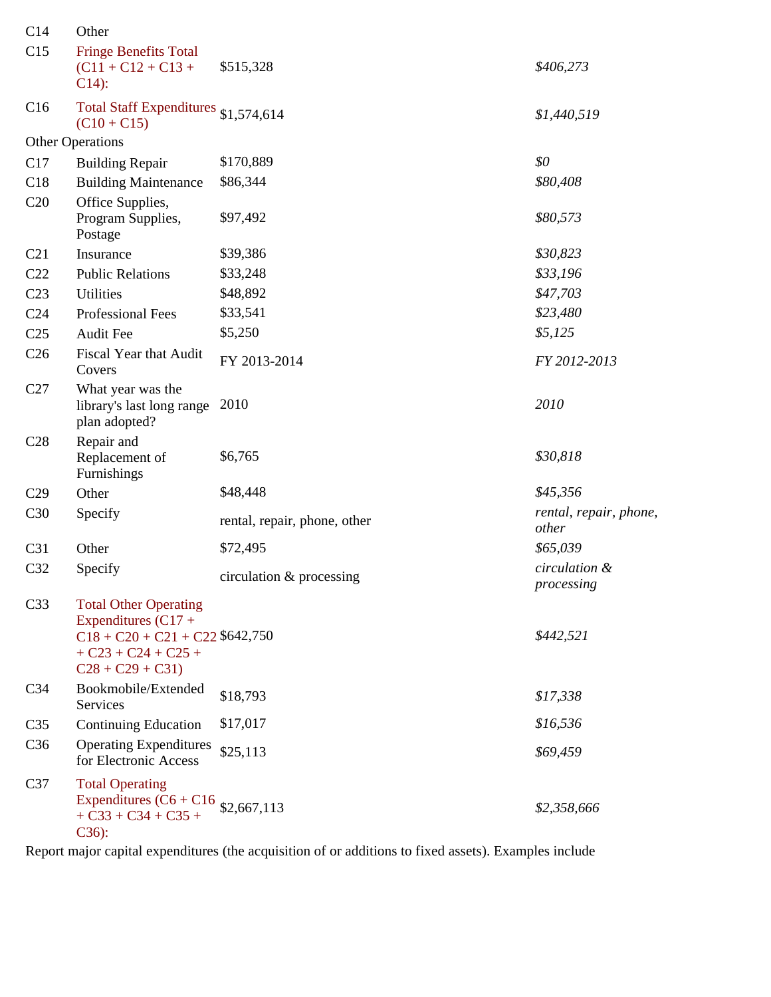| C14             | Other                                                                                                                                    |                              |                                 |
|-----------------|------------------------------------------------------------------------------------------------------------------------------------------|------------------------------|---------------------------------|
| C15             | <b>Fringe Benefits Total</b><br>$(C11 + C12 + C13 +$<br>$C14$ :                                                                          | \$515,328                    | \$406,273                       |
| C16             | Total Staff Expenditures \$1,574,614<br>$(C10 + C15)$                                                                                    |                              | \$1,440,519                     |
|                 | <b>Other Operations</b>                                                                                                                  |                              |                                 |
| C17             | <b>Building Repair</b>                                                                                                                   | \$170,889                    | \$0                             |
| C18             | <b>Building Maintenance</b>                                                                                                              | \$86,344                     | \$80,408                        |
| C20             | Office Supplies,<br>Program Supplies,<br>Postage                                                                                         | \$97,492                     | \$80,573                        |
| C21             | Insurance                                                                                                                                | \$39,386                     | \$30,823                        |
| C22             | <b>Public Relations</b>                                                                                                                  | \$33,248                     | \$33,196                        |
| C <sub>23</sub> | <b>Utilities</b>                                                                                                                         | \$48,892                     | \$47,703                        |
| C <sub>24</sub> | <b>Professional Fees</b>                                                                                                                 | \$33,541                     | \$23,480                        |
| C <sub>25</sub> | <b>Audit Fee</b>                                                                                                                         | \$5,250                      | \$5,125                         |
| C <sub>26</sub> | Fiscal Year that Audit<br>Covers                                                                                                         | FY 2013-2014                 | FY 2012-2013                    |
| C27             | What year was the<br>library's last long range<br>plan adopted?                                                                          | 2010                         | 2010                            |
| C28             | Repair and<br>Replacement of<br>Furnishings                                                                                              | \$6,765                      | \$30,818                        |
| C29             | Other                                                                                                                                    | \$48,448                     | \$45,356                        |
| C30             | Specify                                                                                                                                  | rental, repair, phone, other | rental, repair, phone,<br>other |
| C31             | Other                                                                                                                                    | \$72,495                     | \$65,039                        |
| C32             | Specify                                                                                                                                  | circulation & processing     | circulation &<br>processing     |
| C <sub>33</sub> | <b>Total Other Operating</b><br>Expenditures $(C17 +$<br>$C18 + C20 + C21 + C22$ \$642,750<br>$+ C23 + C24 + C25 +$<br>$C28 + C29 + C31$ |                              | \$442,521                       |
| C <sub>34</sub> | Bookmobile/Extended<br>Services                                                                                                          | \$18,793                     | \$17,338                        |
| C <sub>35</sub> | <b>Continuing Education</b>                                                                                                              | \$17,017                     | \$16,536                        |
| C <sub>36</sub> | <b>Operating Expenditures</b><br>for Electronic Access                                                                                   | \$25,113                     | \$69,459                        |
| C37             | <b>Total Operating</b><br>Expenditures $(C6 + C16 \frac{1}{2}, 667, 113)$<br>$+ C33 + C34 + C35 +$<br>$C36$ :                            |                              | \$2,358,666                     |

Report major capital expenditures (the acquisition of or additions to fixed assets). Examples include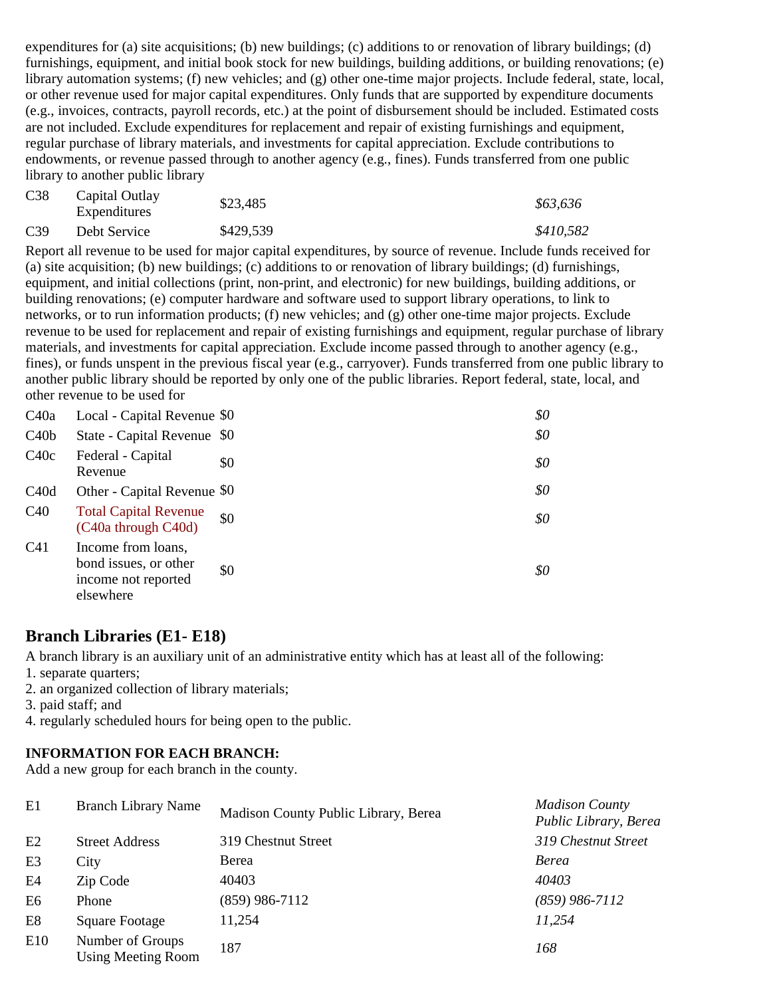expenditures for (a) site acquisitions; (b) new buildings; (c) additions to or renovation of library buildings; (d) furnishings, equipment, and initial book stock for new buildings, building additions, or building renovations; (e) library automation systems; (f) new vehicles; and (g) other one-time major projects. Include federal, state, local, or other revenue used for major capital expenditures. Only funds that are supported by expenditure documents (e.g., invoices, contracts, payroll records, etc.) at the point of disbursement should be included. Estimated costs are not included. Exclude expenditures for replacement and repair of existing furnishings and equipment, regular purchase of library materials, and investments for capital appreciation. Exclude contributions to endowments, or revenue passed through to another agency (e.g., fines). Funds transferred from one public library to another public library

| C38             | Capital Outlay<br>Expenditures | \$23,485  | \$63,636  |
|-----------------|--------------------------------|-----------|-----------|
| C <sub>39</sub> | Debt Service                   | \$429,539 | \$410,582 |

Report all revenue to be used for major capital expenditures, by source of revenue. Include funds received for (a) site acquisition; (b) new buildings; (c) additions to or renovation of library buildings; (d) furnishings, equipment, and initial collections (print, non-print, and electronic) for new buildings, building additions, or building renovations; (e) computer hardware and software used to support library operations, to link to networks, or to run information products; (f) new vehicles; and (g) other one-time major projects. Exclude revenue to be used for replacement and repair of existing furnishings and equipment, regular purchase of library materials, and investments for capital appreciation. Exclude income passed through to another agency (e.g., fines), or funds unspent in the previous fiscal year (e.g., carryover). Funds transferred from one public library to another public library should be reported by only one of the public libraries. Report federal, state, local, and other revenue to be used for

| C40a             | Local - Capital Revenue \$0                                                     |     | \$0 |
|------------------|---------------------------------------------------------------------------------|-----|-----|
| C40 <sub>b</sub> | State - Capital Revenue \$0                                                     |     | \$0 |
| C40c             | Federal - Capital<br>Revenue                                                    | \$0 | \$0 |
| C40d             | Other - Capital Revenue \$0                                                     |     | \$0 |
| C40              | <b>Total Capital Revenue</b><br>(C40a through C40d)                             | \$0 | \$0 |
| C41              | Income from loans,<br>bond issues, or other<br>income not reported<br>elsewhere | \$0 | \$0 |

## **Branch Libraries (E1- E18)**

A branch library is an auxiliary unit of an administrative entity which has at least all of the following:

- 1. separate quarters;
- 2. an organized collection of library materials;
- 3. paid staff; and
- 4. regularly scheduled hours for being open to the public.

### **INFORMATION FOR EACH BRANCH:**

Add a new group for each branch in the county.

| E1             | <b>Branch Library Name</b>                    | Madison County Public Library, Berea | <b>Madison County</b><br>Public Library, Berea |
|----------------|-----------------------------------------------|--------------------------------------|------------------------------------------------|
| E2             | <b>Street Address</b>                         | 319 Chestnut Street                  | 319 Chestnut Street                            |
| E <sub>3</sub> | City                                          | Berea                                | <b>Berea</b>                                   |
| E <sub>4</sub> | Zip Code                                      | 40403                                | 40403                                          |
| E <sub>6</sub> | Phone                                         | $(859)$ 986-7112                     | $(859)$ 986-7112                               |
| E <sub>8</sub> | <b>Square Footage</b>                         | 11,254                               | 11,254                                         |
| E10            | Number of Groups<br><b>Using Meeting Room</b> | 187                                  | 168                                            |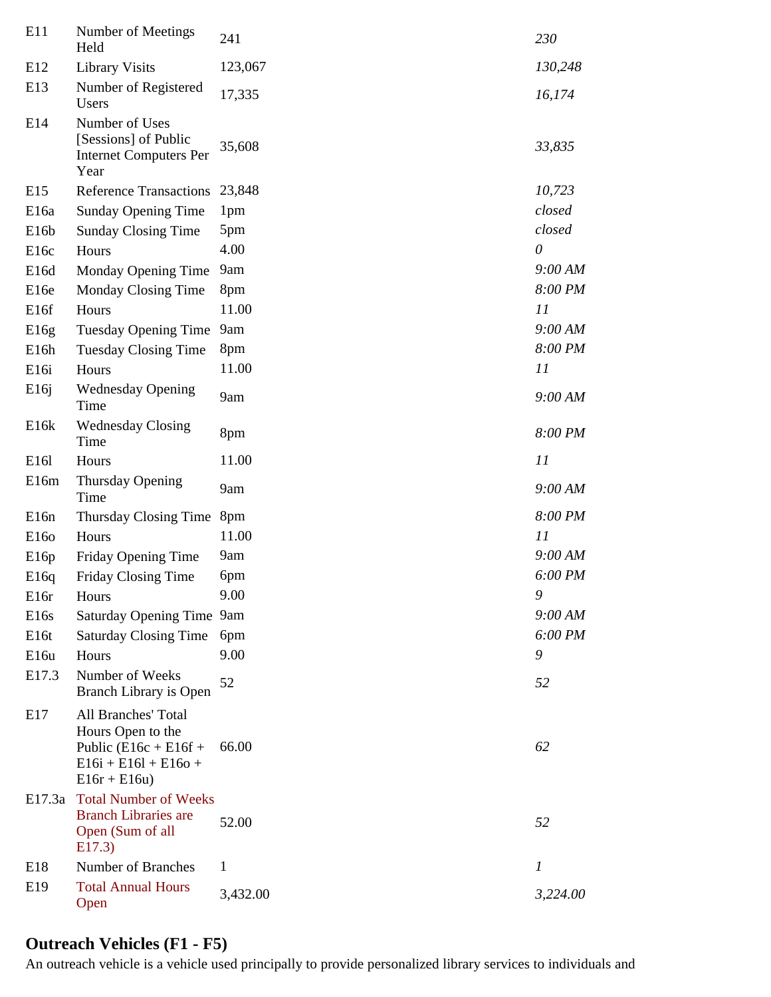| E11               | Number of Meetings<br>Held                                                                                            | 241             | 230      |
|-------------------|-----------------------------------------------------------------------------------------------------------------------|-----------------|----------|
| E12               | <b>Library Visits</b>                                                                                                 | 123,067         | 130,248  |
| E13               | Number of Registered<br>Users                                                                                         | 17,335          | 16,174   |
| E14               | Number of Uses<br>[Sessions] of Public<br><b>Internet Computers Per</b><br>Year                                       | 35,608          | 33,835   |
| E15               | <b>Reference Transactions</b>                                                                                         | 23,848          | 10,723   |
| E <sub>16a</sub>  | <b>Sunday Opening Time</b>                                                                                            | 1 <sub>pm</sub> | closed   |
| E16b              | <b>Sunday Closing Time</b>                                                                                            | 5pm             | closed   |
| E <sub>16c</sub>  | Hours                                                                                                                 | 4.00            | $\theta$ |
| E <sub>16d</sub>  | Monday Opening Time                                                                                                   | 9am             | 9:00 AM  |
| E <sub>16e</sub>  | Monday Closing Time                                                                                                   | 8pm             | 8:00 PM  |
| E16f              | Hours                                                                                                                 | 11.00           | 11       |
| E16g              | <b>Tuesday Opening Time</b>                                                                                           | 9am             | 9:00 AM  |
| E <sub>16</sub> h | <b>Tuesday Closing Time</b>                                                                                           | 8pm             | 8:00 PM  |
| E <sub>16i</sub>  | Hours                                                                                                                 | 11.00           | 11       |
| E16j              | <b>Wednesday Opening</b><br>Time                                                                                      | 9am             | 9:00 AM  |
| E16k              | <b>Wednesday Closing</b><br>Time                                                                                      | 8pm             | 8:00 PM  |
| E161              | Hours                                                                                                                 | 11.00           | 11       |
| E16m              | Thursday Opening<br>Time                                                                                              | 9am             | 9:00 AM  |
| E <sub>16n</sub>  | Thursday Closing Time                                                                                                 | 8pm             | 8:00 PM  |
| E160              | Hours                                                                                                                 | 11.00           | 11       |
| E16p              | Friday Opening Time                                                                                                   | 9am             | 9:00 AM  |
| E16q              | Friday Closing Time                                                                                                   | 6pm             | 6:00 PM  |
| E <sub>16r</sub>  | Hours                                                                                                                 | 9.00            | 9        |
| E <sub>16s</sub>  | Saturday Opening Time 9am                                                                                             |                 | 9:00 AM  |
| E <sub>16t</sub>  | <b>Saturday Closing Time</b>                                                                                          | 6pm             | 6:00 PM  |
| E16u              | Hours                                                                                                                 | 9.00            | 9        |
| E17.3             | Number of Weeks<br>Branch Library is Open                                                                             | 52              | 52       |
| E17               | <b>All Branches' Total</b><br>Hours Open to the<br>Public $(E16c + E16f +$<br>$E16i + E16l + E16o +$<br>$E16r + E16u$ | 66.00           | 62       |
| E17.3a            | <b>Total Number of Weeks</b><br><b>Branch Libraries are</b><br>Open (Sum of all<br>E17.3)                             | 52.00           | 52       |
| E18               | Number of Branches                                                                                                    | 1               | 1        |
| E19               | <b>Total Annual Hours</b><br>Open                                                                                     | 3,432.00        | 3,224.00 |

# **Outreach Vehicles (F1 - F5)**

An outreach vehicle is a vehicle used principally to provide personalized library services to individuals and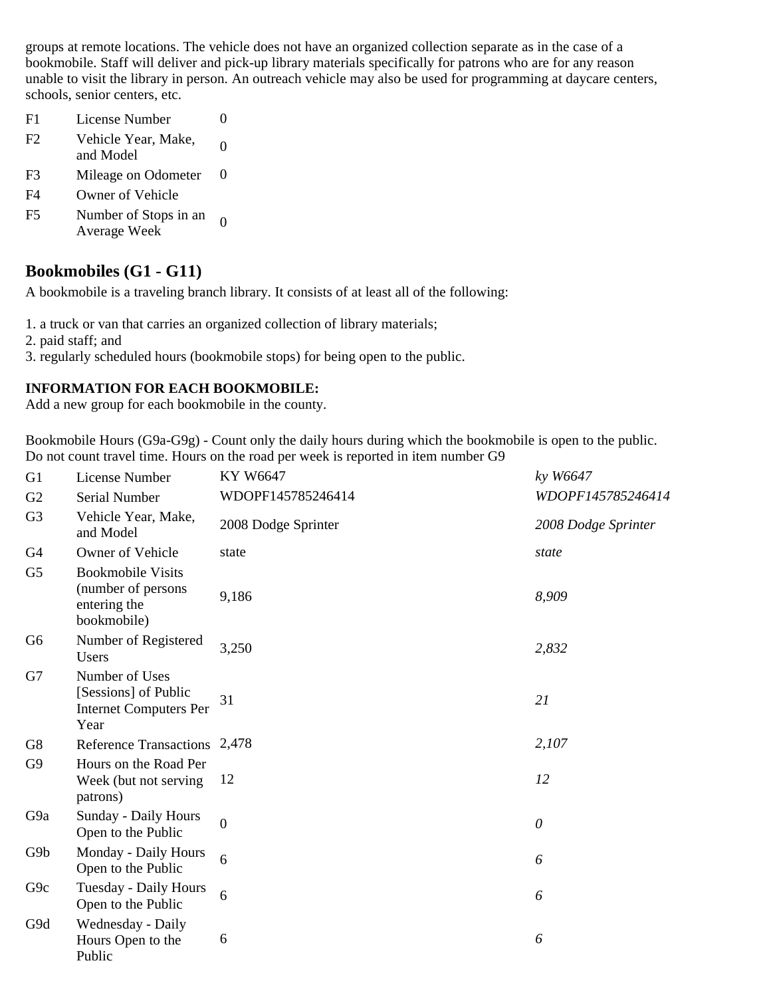groups at remote locations. The vehicle does not have an organized collection separate as in the case of a bookmobile. Staff will deliver and pick-up library materials specifically for patrons who are for any reason unable to visit the library in person. An outreach vehicle may also be used for programming at daycare centers, schools, senior centers, etc.

- F1 License Number 0
- F2 Vehicle Year, Make, 0<br>and Model
- F3 Mileage on Odometer 0
- F4 Owner of Vehicle
- F5 Number of Stops in an 0<br>Average Week

## **Bookmobiles (G1 - G11)**

A bookmobile is a traveling branch library. It consists of at least all of the following:

1. a truck or van that carries an organized collection of library materials;

- 2. paid staff; and
- 3. regularly scheduled hours (bookmobile stops) for being open to the public.

### **INFORMATION FOR EACH BOOKMOBILE:**

Add a new group for each bookmobile in the county.

Bookmobile Hours (G9a-G9g) - Count only the daily hours during which the bookmobile is open to the public. Do not count travel time. Hours on the road per week is reported in item number G9

| G1              | License Number                                                                  | KY W6647            | ky W6647            |
|-----------------|---------------------------------------------------------------------------------|---------------------|---------------------|
| G2              | Serial Number                                                                   | WDOPF145785246414   | WDOPF145785246414   |
| G <sub>3</sub>  | Vehicle Year, Make,<br>and Model                                                | 2008 Dodge Sprinter | 2008 Dodge Sprinter |
| G <sub>4</sub>  | Owner of Vehicle                                                                | state               | state               |
| G <sub>5</sub>  | <b>Bookmobile Visits</b><br>(number of persons<br>entering the<br>bookmobile)   | 9,186               | 8,909               |
| G <sub>6</sub>  | Number of Registered<br>Users                                                   | 3,250               | 2,832               |
| G7              | Number of Uses<br>[Sessions] of Public<br><b>Internet Computers Per</b><br>Year | 31                  | 21                  |
| G8              | Reference Transactions 2,478                                                    |                     | 2,107               |
| G <sub>9</sub>  | Hours on the Road Per<br>Week (but not serving<br>patrons)                      | 12                  | 12                  |
| G <sub>9a</sub> | Sunday - Daily Hours<br>Open to the Public                                      | $\boldsymbol{0}$    | $\theta$            |
| G9b             | Monday - Daily Hours<br>Open to the Public                                      | 6                   | 6                   |
| G <sub>9c</sub> | <b>Tuesday - Daily Hours</b><br>Open to the Public                              | 6                   | 6                   |
| G9d             | Wednesday - Daily<br>Hours Open to the<br>Public                                | 6                   | 6                   |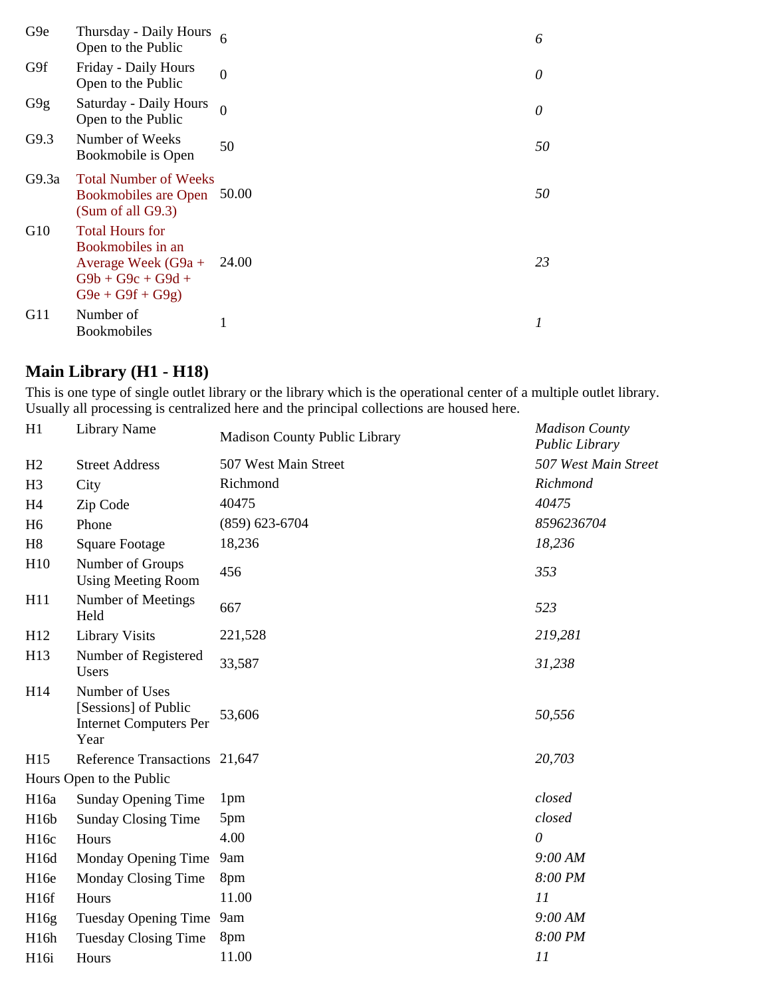| G9e   | Thursday - Daily Hours<br>Open to the Public                                                                     |                | 6        |
|-------|------------------------------------------------------------------------------------------------------------------|----------------|----------|
| G9f   | Friday - Daily Hours<br>Open to the Public                                                                       | $\overline{0}$ | $\theta$ |
| G9g   | Saturday - Daily Hours<br>Open to the Public                                                                     | $\theta$       | 0        |
| G9.3  | Number of Weeks<br>Bookmobile is Open                                                                            | 50             | 50       |
| G9.3a | <b>Total Number of Weeks</b><br><b>Bookmobiles are Open</b><br>(Sum of all G9.3)                                 | 50.00          | 50       |
| G10   | <b>Total Hours for</b><br>Bookmobiles in an<br>Average Week $(G9a +$<br>$G9b + G9c + G9d +$<br>$G9e + G9f + G9g$ | 24.00          | 23       |
| G11   | Number of<br><b>Bookmobiles</b>                                                                                  | 1              | 1        |

# **Main Library (H1 - H18)**

This is one type of single outlet library or the library which is the operational center of a multiple outlet library. Usually all processing is centralized here and the principal collections are housed here.

| H1                | <b>Library Name</b>                                                             | <b>Madison County Public Library</b> | <b>Madison County</b><br>Public Library |
|-------------------|---------------------------------------------------------------------------------|--------------------------------------|-----------------------------------------|
| H2                | <b>Street Address</b>                                                           | 507 West Main Street                 | 507 West Main Street                    |
| H <sub>3</sub>    | City                                                                            | Richmond                             | Richmond                                |
| H <sub>4</sub>    | Zip Code                                                                        | 40475                                | 40475                                   |
| H <sub>6</sub>    | Phone                                                                           | $(859)$ 623-6704                     | 8596236704                              |
| H8                | <b>Square Footage</b>                                                           | 18,236                               | 18,236                                  |
| H10               | Number of Groups<br><b>Using Meeting Room</b>                                   | 456                                  | 353                                     |
| H11               | Number of Meetings<br>Held                                                      | 667                                  | 523                                     |
| H12               | <b>Library Visits</b>                                                           | 221,528                              | 219,281                                 |
| H13               | Number of Registered<br>Users                                                   | 33,587                               | 31,238                                  |
| H14               | Number of Uses<br>[Sessions] of Public<br><b>Internet Computers Per</b><br>Year | 53,606                               | 50,556                                  |
| H15               | Reference Transactions 21,647                                                   |                                      | 20,703                                  |
|                   | Hours Open to the Public                                                        |                                      |                                         |
| H <sub>16a</sub>  | Sunday Opening Time                                                             | 1 <sub>pm</sub>                      | closed                                  |
| H <sub>16</sub> b | <b>Sunday Closing Time</b>                                                      | 5pm                                  | closed                                  |
| H <sub>16c</sub>  | Hours                                                                           | 4.00                                 | $\theta$                                |
| H16d              | Monday Opening Time                                                             | 9am                                  | 9:00 AM                                 |
| H <sub>16e</sub>  | Monday Closing Time                                                             | 8pm                                  | 8:00 PM                                 |
| H <sub>16f</sub>  | Hours                                                                           | 11.00                                | 11                                      |
| H16g              | Tuesday Opening Time                                                            | 9am                                  | 9:00 AM                                 |
| H <sub>16h</sub>  | <b>Tuesday Closing Time</b>                                                     | 8pm                                  | 8:00 PM                                 |
| H <sub>16i</sub>  | Hours                                                                           | 11.00                                | 11                                      |
|                   |                                                                                 |                                      |                                         |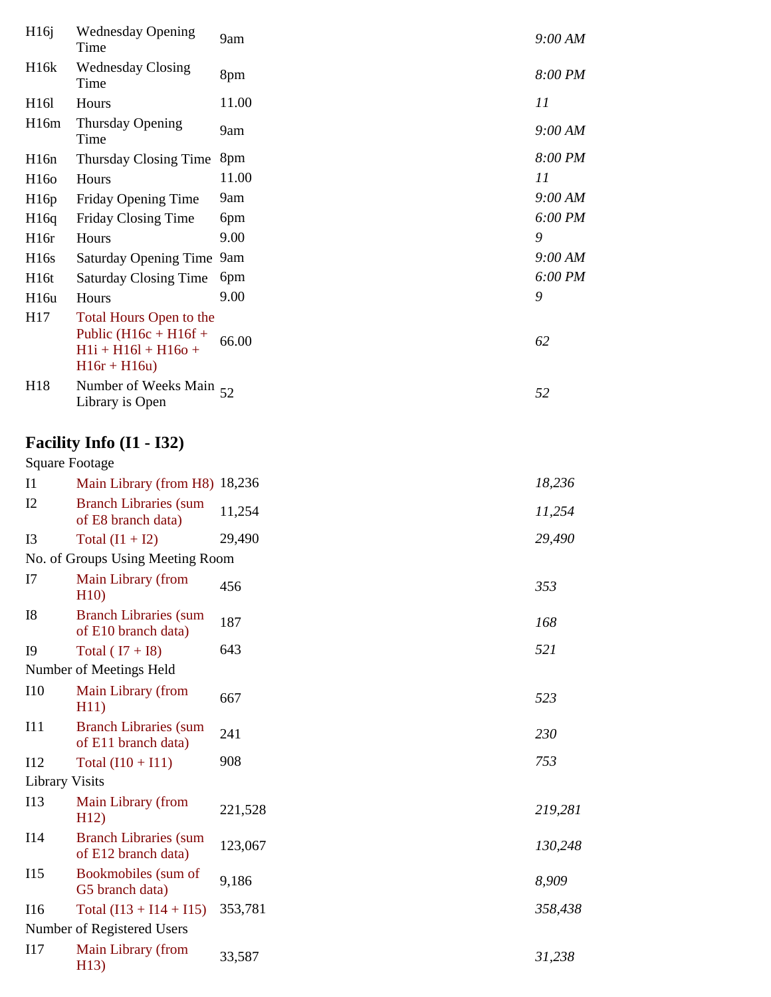| H16j                  | <b>Wednesday Opening</b><br>Time                                                           | 9am     | 9:00 AM |
|-----------------------|--------------------------------------------------------------------------------------------|---------|---------|
| H <sub>16</sub> k     | <b>Wednesday Closing</b><br>Time                                                           | 8pm     | 8:00 PM |
| H <sub>16</sub> 1     | Hours                                                                                      | 11.00   | 11      |
| H <sub>16m</sub>      | Thursday Opening<br>Time                                                                   | 9am     | 9:00 AM |
| H16n                  | Thursday Closing Time                                                                      | 8pm     | 8:00 PM |
| H <sub>160</sub>      | Hours                                                                                      | 11.00   | 11      |
| H16p                  | Friday Opening Time                                                                        | 9am     | 9:00 AM |
| H16q                  | Friday Closing Time                                                                        | 6pm     | 6:00 PM |
| H <sub>16r</sub>      | Hours                                                                                      | 9.00    | 9       |
| H <sub>16s</sub>      | Saturday Opening Time 9am                                                                  |         | 9:00 AM |
| H <sub>16t</sub>      | <b>Saturday Closing Time</b>                                                               | 6pm     | 6:00 PM |
| H <sub>16u</sub>      | Hours                                                                                      | 9.00    | 9       |
| H17                   | Total Hours Open to the<br>Public (H16c + H16f +<br>$H1i + H16l + H16o +$<br>$H16r + H16u$ | 66.00   | 62      |
| H <sub>18</sub>       | Number of Weeks Main $\frac{52}{3}$<br>Library is Open                                     |         | 52      |
|                       | Facility Info (I1 - I32)                                                                   |         |         |
| <b>Square Footage</b> |                                                                                            |         |         |
| $_{\rm II}$           | Main Library (from H8) 18,236                                                              |         | 18,236  |
| I2                    | <b>Branch Libraries (sum</b><br>of E8 branch data)                                         | 11,254  | 11,254  |
| I <sub>3</sub>        | Total $(11 + 12)$                                                                          | 29,490  | 29,490  |
|                       | No. of Groups Using Meeting Room                                                           |         |         |
| I7                    | Main Library (from<br>H10                                                                  | 456     | 353     |
| I8                    | <b>Branch Libraries (sum</b><br>of E10 branch data)                                        | 187     | 168     |
| I <sub>9</sub>        | Total ( $I7 + I8$ )                                                                        | 643     | 521     |
|                       | Number of Meetings Held                                                                    |         |         |
| <b>I10</b>            | Main Library (from<br>H11)                                                                 | 667     | 523     |
| I11                   | <b>Branch Libraries (sum</b><br>of E11 branch data)                                        | 241     | 230     |
| I12                   | Total $(110 + 111)$                                                                        | 908     | 753     |
| <b>Library Visits</b> |                                                                                            |         |         |
| <b>I13</b>            | Main Library (from<br>H12)                                                                 | 221,528 | 219,281 |
| I14                   | <b>Branch Libraries (sum</b><br>of E12 branch data)                                        | 123,067 | 130,248 |
| I15                   | Bookmobiles (sum of<br>G5 branch data)                                                     | 9,186   | 8,909   |
| I16                   | Total $(113 + 114 + 115)$                                                                  | 353,781 | 358,438 |
|                       | Number of Registered Users                                                                 |         |         |
| 117                   | Main Library (from<br>H13)                                                                 | 33,587  | 31,238  |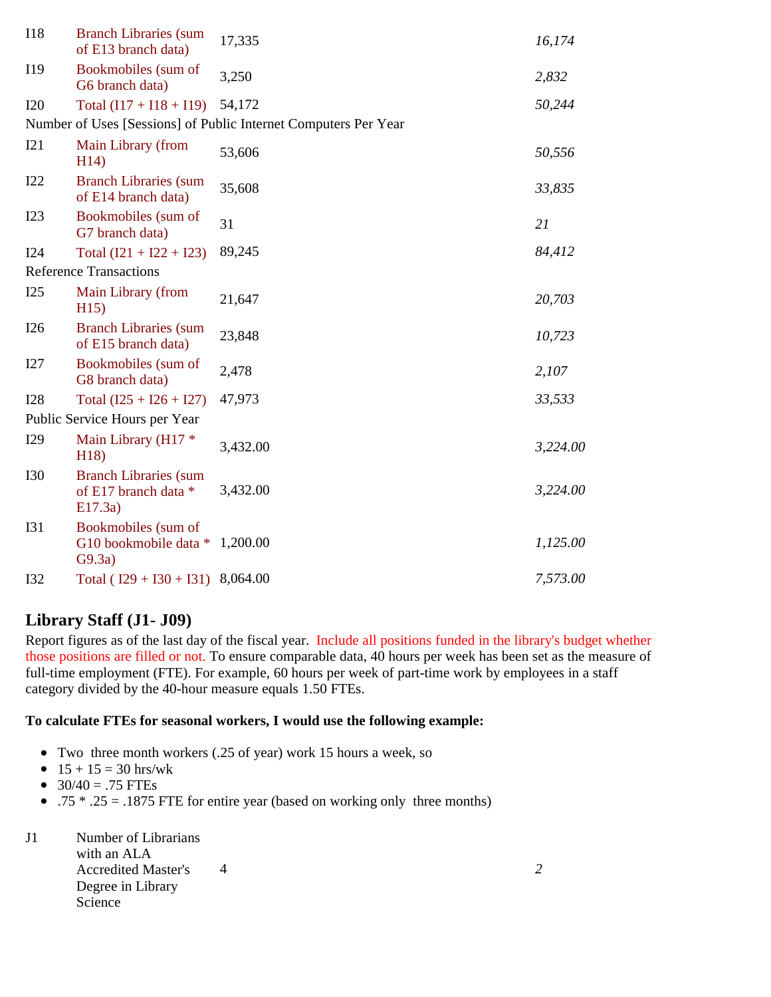| <b>I18</b> | <b>Branch Libraries (sum</b><br>of E13 branch data)             | 17,335                                                          | 16,174   |
|------------|-----------------------------------------------------------------|-----------------------------------------------------------------|----------|
| I19        | Bookmobiles (sum of<br>G6 branch data)                          | 3,250                                                           | 2,832    |
| <b>I20</b> | Total $(117 + 118 + 119)$                                       | 54,172                                                          | 50,244   |
|            |                                                                 | Number of Uses [Sessions] of Public Internet Computers Per Year |          |
| I21        | Main Library (from<br>H14)                                      | 53,606                                                          | 50,556   |
| I22        | <b>Branch Libraries (sum</b><br>of E14 branch data)             | 35,608                                                          | 33,835   |
| I23        | Bookmobiles (sum of<br>G7 branch data)                          | 31                                                              | 21       |
| I24        | Total $(121 + 122 + 123)$                                       | 89,245                                                          | 84,412   |
|            | <b>Reference Transactions</b>                                   |                                                                 |          |
| I25        | Main Library (from<br>H15                                       | 21,647                                                          | 20,703   |
| I26        | <b>Branch Libraries (sum</b><br>of E15 branch data)             | 23,848                                                          | 10,723   |
| I27        | Bookmobiles (sum of<br>G8 branch data)                          | 2,478                                                           | 2,107    |
| <b>I28</b> | Total $(125 + 126 + 127)$                                       | 47,973                                                          | 33,533   |
|            | Public Service Hours per Year                                   |                                                                 |          |
| I29        | Main Library (H17 *<br>H18)                                     | 3,432.00                                                        | 3,224.00 |
| <b>I30</b> | <b>Branch Libraries (sum</b><br>of E17 branch data *<br>E17.3a) | 3,432.00                                                        | 3,224.00 |
| <b>I31</b> | Bookmobiles (sum of<br>G10 bookmobile data *<br>G9.3a)          | 1,200.00                                                        | 1,125.00 |
| <b>I32</b> | Total ( $129 + 130 + 131$ )                                     | 8,064.00                                                        | 7,573.00 |

## **Library Staff (J1- J09)**

Report figures as of the last day of the fiscal year. Include all positions funded in the library's budget whether those positions are filled or not. To ensure comparable data, 40 hours per week has been set as the measure of full-time employment (FTE). For example, 60 hours per week of part-time work by employees in a staff category divided by the 40-hour measure equals 1.50 FTEs.

#### **To calculate FTEs for seasonal workers, I would use the following example:**

- Two three month workers (.25 of year) work 15 hours a week, so
- $15 + 15 = 30$  hrs/wk
- $30/40 = .75$  FTEs
- .75  $*$  .25 = .1875 FTE for entire year (based on working only three months)
- J1 Number of Librarians with an ALA Accredited Master's 4 2 Degree in Library Science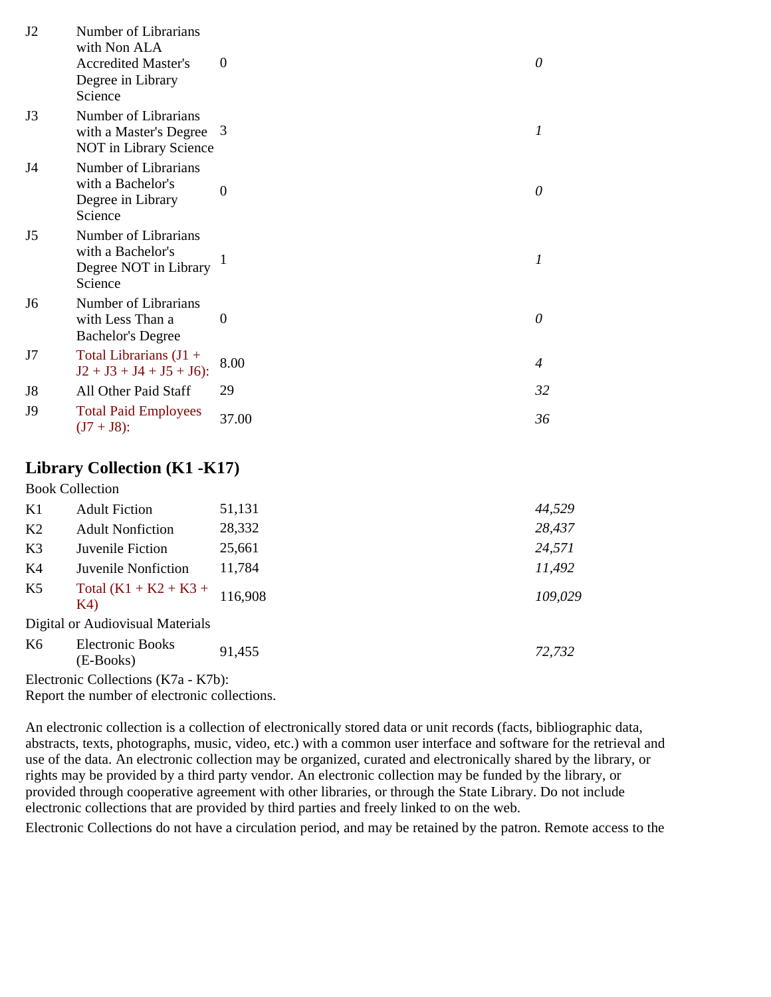| J2             | Number of Librarians<br>with Non ALA<br><b>Accredited Master's</b><br>Degree in Library<br>Science | 0                | 0                         |
|----------------|----------------------------------------------------------------------------------------------------|------------------|---------------------------|
| J3             | Number of Librarians<br>with a Master's Degree<br>NOT in Library Science                           | -3               | 1                         |
| J4             | Number of Librarians<br>with a Bachelor's<br>Degree in Library<br>Science                          | $\boldsymbol{0}$ | 0                         |
| J <sub>5</sub> | Number of Librarians<br>with a Bachelor's<br>Degree NOT in Library<br>Science                      |                  | $\boldsymbol{l}$          |
| J <sub>6</sub> | Number of Librarians<br>with Less Than a<br><b>Bachelor's Degree</b>                               | $\theta$         | 0                         |
| J7             | Total Librarians (J1 +<br>$J2 + J3 + J4 + J5 + J6$ :                                               | 8.00             | $\boldsymbol{\varLambda}$ |
| J8             | All Other Paid Staff                                                                               | 29               | 32                        |
| <b>J9</b>      | <b>Total Paid Employees</b><br>$(J7 + J8)$ :                                                       | 37.00            | 36                        |

## **Library Collection (K1 -K17)**

Book Collection

| K1             | <b>Adult Fiction</b>             | 51,131  | 44,529  |
|----------------|----------------------------------|---------|---------|
| K <sub>2</sub> | <b>Adult Nonfiction</b>          | 28,332  | 28,437  |
| K3             | Juvenile Fiction                 | 25,661  | 24,571  |
| K4             | Juvenile Nonfiction              | 11,784  | 11,492  |
| K5             | Total $(K1 + K2 + K3 +$<br>K4)   | 116.908 | 109,029 |
|                | Digital or Audiovisual Materials |         |         |
| K6             | <b>Electronic Books</b>          | 01175   | 72.72   |

| K6 | Electronic Books<br>(E-Books)       | 91,455 | 72,732 |
|----|-------------------------------------|--------|--------|
|    | Electronic Collections (K7a - K7b): |        |        |

Report the number of electronic collections.

An electronic collection is a collection of electronically stored data or unit records (facts, bibliographic data, abstracts, texts, photographs, music, video, etc.) with a common user interface and software for the retrieval and use of the data. An electronic collection may be organized, curated and electronically shared by the library, or rights may be provided by a third party vendor. An electronic collection may be funded by the library, or provided through cooperative agreement with other libraries, or through the State Library. Do not include electronic collections that are provided by third parties and freely linked to on the web.

Electronic Collections do not have a circulation period, and may be retained by the patron. Remote access to the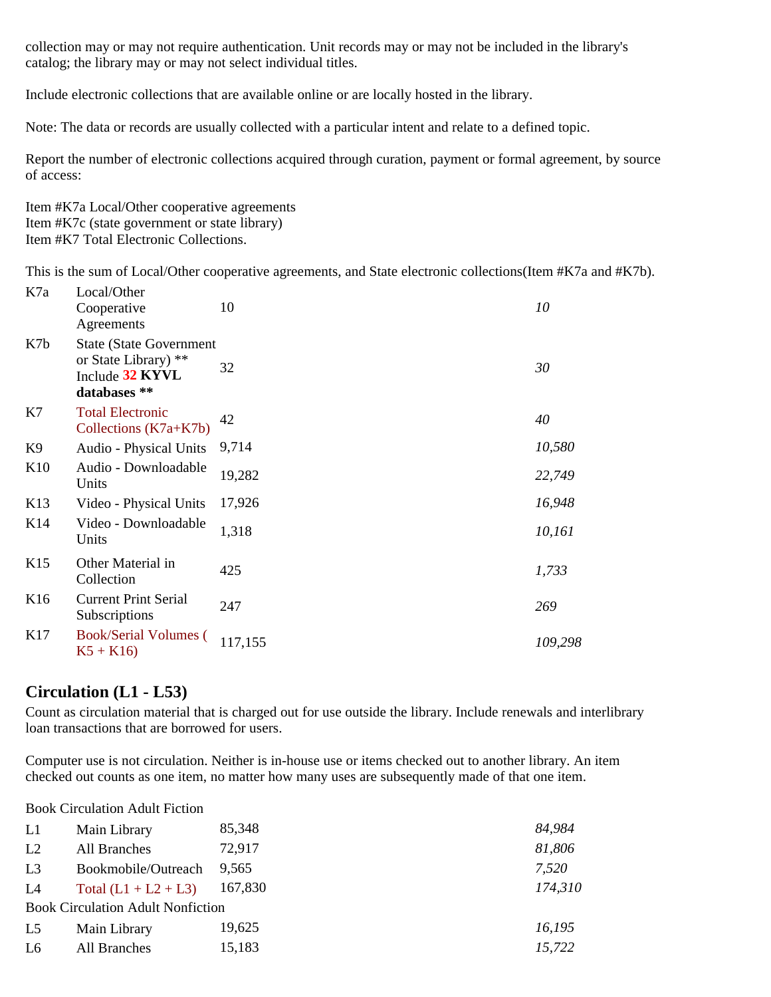collection may or may not require authentication. Unit records may or may not be included in the library's catalog; the library may or may not select individual titles.

Include electronic collections that are available online or are locally hosted in the library.

Note: The data or records are usually collected with a particular intent and relate to a defined topic.

Report the number of electronic collections acquired through curation, payment or formal agreement, by source of access:

Item #K7a Local/Other cooperative agreements Item #K7c (state government or state library) Item #K7 Total Electronic Collections.

This is the sum of Local/Other cooperative agreements, and State electronic collections(Item #K7a and #K7b).

| K7a             | Local/Other<br>Cooperative<br>Agreements                                                   | 10      | 10      |
|-----------------|--------------------------------------------------------------------------------------------|---------|---------|
| K7b             | <b>State (State Government)</b><br>or State Library) **<br>Include 32 KYVL<br>databases ** | 32      | 30      |
| K7              | <b>Total Electronic</b><br>Collections $(K7a+K7b)$                                         | 42      | 40      |
| K9              | Audio - Physical Units                                                                     | 9,714   | 10,580  |
| K10             | Audio - Downloadable<br>Units                                                              | 19,282  | 22,749  |
| K <sub>13</sub> | Video - Physical Units                                                                     | 17,926  | 16,948  |
| K <sub>14</sub> | Video - Downloadable<br>Units                                                              | 1,318   | 10,161  |
| K15             | Other Material in<br>Collection                                                            | 425     | 1,733   |
| K <sub>16</sub> | <b>Current Print Serial</b><br>Subscriptions                                               | 247     | 269     |
| K17             | <b>Book/Serial Volumes</b> (<br>$K5 + K16$                                                 | 117,155 | 109,298 |

## **Circulation (L1 - L53)**

Count as circulation material that is charged out for use outside the library. Include renewals and interlibrary loan transactions that are borrowed for users.

Computer use is not circulation. Neither is in-house use or items checked out to another library. An item checked out counts as one item, no matter how many uses are subsequently made of that one item.

Book Circulation Adult Fiction

| L1             | Main Library                             | 85,348  | 84,984  |  |  |
|----------------|------------------------------------------|---------|---------|--|--|
| L2             | All Branches                             | 72,917  | 81,806  |  |  |
| L <sub>3</sub> | Bookmobile/Outreach                      | 9.565   | 7,520   |  |  |
| L4             | Total $(L1 + L2 + L3)$                   | 167,830 | 174,310 |  |  |
|                | <b>Book Circulation Adult Nonfiction</b> |         |         |  |  |
| L <sub>5</sub> | Main Library                             | 19,625  | 16,195  |  |  |
| L <sub>6</sub> | All Branches                             | 15,183  | 15,722  |  |  |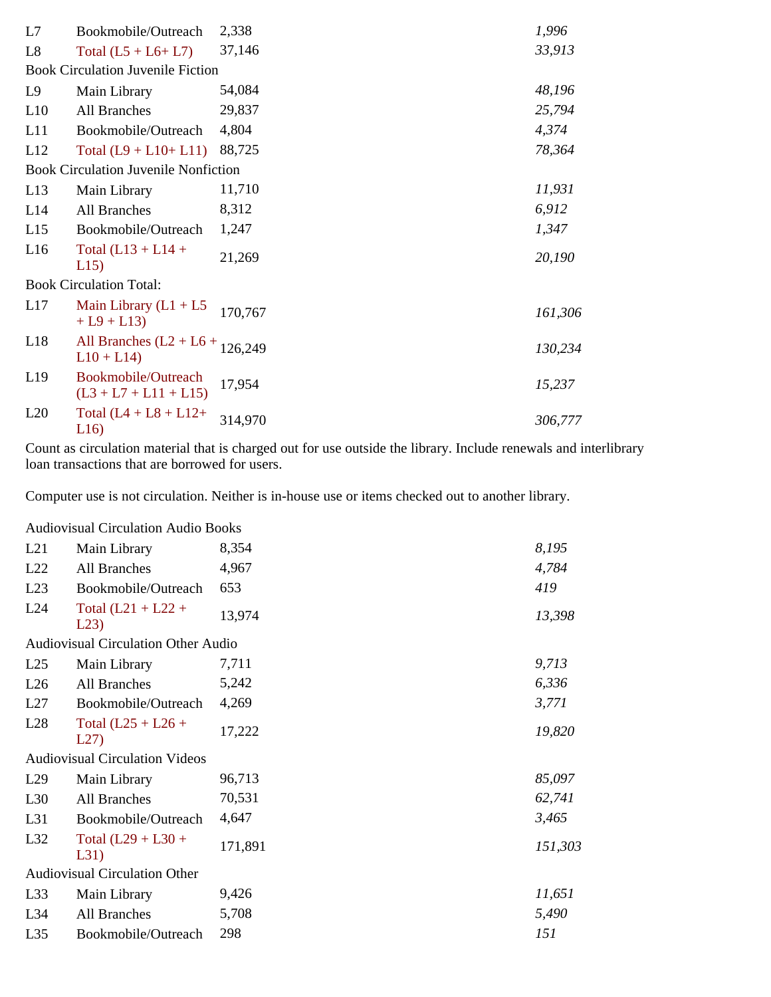| L7             | Bookmobile/Outreach                               | 2,338   | 1,996   |
|----------------|---------------------------------------------------|---------|---------|
| L <sub>8</sub> | Total $(L5 + L6 + L7)$                            | 37,146  | 33,913  |
|                | <b>Book Circulation Juvenile Fiction</b>          |         |         |
| L9             | Main Library                                      | 54,084  | 48,196  |
| L10            | All Branches                                      | 29,837  | 25,794  |
| L11            | Bookmobile/Outreach                               | 4,804   | 4,374   |
| L12            | Total $(L9 + L10+ L11)$                           | 88,725  | 78,364  |
|                | <b>Book Circulation Juvenile Nonfiction</b>       |         |         |
| L13            | Main Library                                      | 11,710  | 11,931  |
| L14            | All Branches                                      | 8,312   | 6,912   |
| L15            | Bookmobile/Outreach                               | 1,247   | 1,347   |
| L16            | Total $(L13 + L14 +$<br>L15                       | 21,269  | 20,190  |
|                | <b>Book Circulation Total:</b>                    |         |         |
| L17            | Main Library $(L1 + L5)$<br>$+ L9 + L13$          | 170,767 | 161,306 |
| L18            | All Branches $(L2 + L6 + 126,249)$<br>$L10 + L14$ |         | 130,234 |
| L19            | Bookmobile/Outreach<br>$(L3 + L7 + L11 + L15)$    | 17,954  | 15,237  |
| L20            | Total $(L4 + L8 + L12)$ +<br>L16                  | 314,970 | 306,777 |

Count as circulation material that is charged out for use outside the library. Include renewals and interlibrary loan transactions that are borrowed for users.

Computer use is not circulation. Neither is in-house use or items checked out to another library.

Audiovisual Circulation Audio Books

| Main Library                 | 8,354                                                                         | 8,195                                      |
|------------------------------|-------------------------------------------------------------------------------|--------------------------------------------|
| All Branches                 | 4,967                                                                         | 4,784                                      |
| Bookmobile/Outreach          | 653                                                                           | 419                                        |
| Total $(L21 + L22 +$<br>L23  | 13,974                                                                        | 13,398                                     |
|                              |                                                                               |                                            |
| Main Library                 | 7,711                                                                         | 9,713                                      |
| All Branches                 | 5,242                                                                         | 6,336                                      |
| Bookmobile/Outreach          | 4,269                                                                         | 3,771                                      |
| Total $(L25 + L26 +$<br>L27  | 17,222                                                                        | 19,820                                     |
|                              |                                                                               |                                            |
| Main Library                 | 96,713                                                                        | 85,097                                     |
| All Branches                 | 70,531                                                                        | 62,741                                     |
| Bookmobile/Outreach          | 4,647                                                                         | 3,465                                      |
| Total $(L29 + L30 +$<br>L31) | 171,891                                                                       | 151,303                                    |
|                              |                                                                               |                                            |
| Main Library                 | 9,426                                                                         | 11,651                                     |
| All Branches                 | 5,708                                                                         | 5,490                                      |
| Bookmobile/Outreach          | 298                                                                           | 151                                        |
|                              | <b>Audiovisual Circulation Videos</b><br><b>Audiovisual Circulation Other</b> | <b>Audiovisual Circulation Other Audio</b> |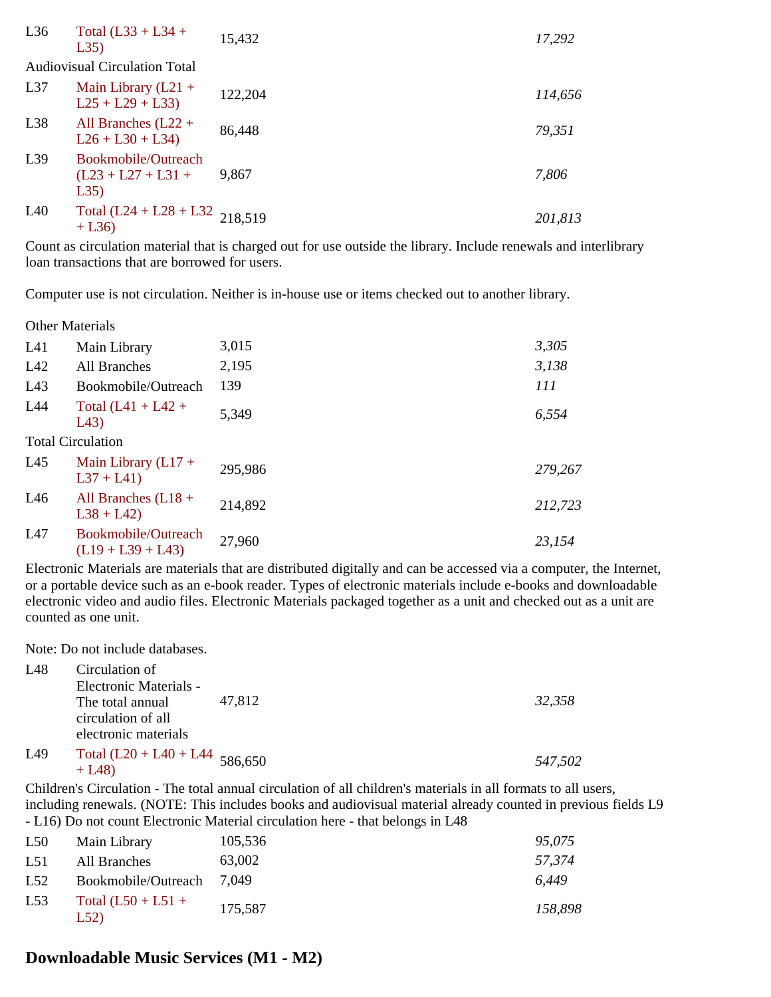| L36 | Total $(L33 + L34 +$<br>L35)                        | 15,432  | 17,292  |
|-----|-----------------------------------------------------|---------|---------|
|     | <b>Audiovisual Circulation Total</b>                |         |         |
| L37 | Main Library $(L21 +$<br>$L25 + L29 + L33$          | 122,204 | 114,656 |
| L38 | All Branches $(L22 +$<br>$L26 + L30 + L34$          | 86,448  | 79,351  |
| L39 | Bookmobile/Outreach<br>$(L23 + L27 + L31 +$<br>L35) | 9,867   | 7,806   |
| L40 | Total $(L24 + L28 + L32)$ 218,519<br>$+ L36$        |         | 201,813 |

Count as circulation material that is charged out for use outside the library. Include renewals and interlibrary loan transactions that are borrowed for users.

Computer use is not circulation. Neither is in-house use or items checked out to another library.

Other Materials

| L41 | Main Library                               | 3,015   | 3,305   |
|-----|--------------------------------------------|---------|---------|
| L42 | <b>All Branches</b>                        | 2,195   | 3,138   |
| L43 | Bookmobile/Outreach                        | 139     | 111     |
| L44 | Total $(L41 + L42 +$<br>L43)               | 5,349   | 6,554   |
|     | <b>Total Circulation</b>                   |         |         |
| L45 | Main Library $(L17 +$<br>$L37 + L41$       | 295,986 | 279,267 |
| L46 | All Branches $(L18 +$<br>$L38 + L42$       | 214,892 | 212,723 |
| L47 | Bookmobile/Outreach<br>$(L19 + L39 + L43)$ | 27,960  | 23,154  |

Electronic Materials are materials that are distributed digitally and can be accessed via a computer, the Internet, or a portable device such as an e-book reader. Types of electronic materials include e-books and downloadable electronic video and audio files. Electronic Materials packaged together as a unit and checked out as a unit are counted as one unit.

Note: Do not include databases.

| L <sub>48</sub> | Circulation of                   |        |         |
|-----------------|----------------------------------|--------|---------|
|                 | <b>Electronic Materials -</b>    |        |         |
|                 | The total annual                 | 47.812 | 32,358  |
|                 | circulation of all               |        |         |
|                 | electronic materials             |        |         |
| L49             | Total $(L20 + L40 + L44$ 586,650 |        |         |
|                 | $+$ L48)                         |        | 547,502 |

Children's Circulation - The total annual circulation of all children's materials in all formats to all users, including renewals. (NOTE: This includes books and audiovisual material already counted in previous fields L9 - L16) Do not count Electronic Material circulation here - that belongs in L48

| L50             | Main Library                | 105,536 | 95,075  |
|-----------------|-----------------------------|---------|---------|
| L <sub>51</sub> | All Branches                | 63,002  | 57.374  |
| L52             | Bookmobile/Outreach         | 7.049   | 6.449   |
| L <sub>53</sub> | Total $(L50 + L51 +$<br>L52 | 175,587 | 158,898 |

## **Downloadable Music Services (M1 - M2)**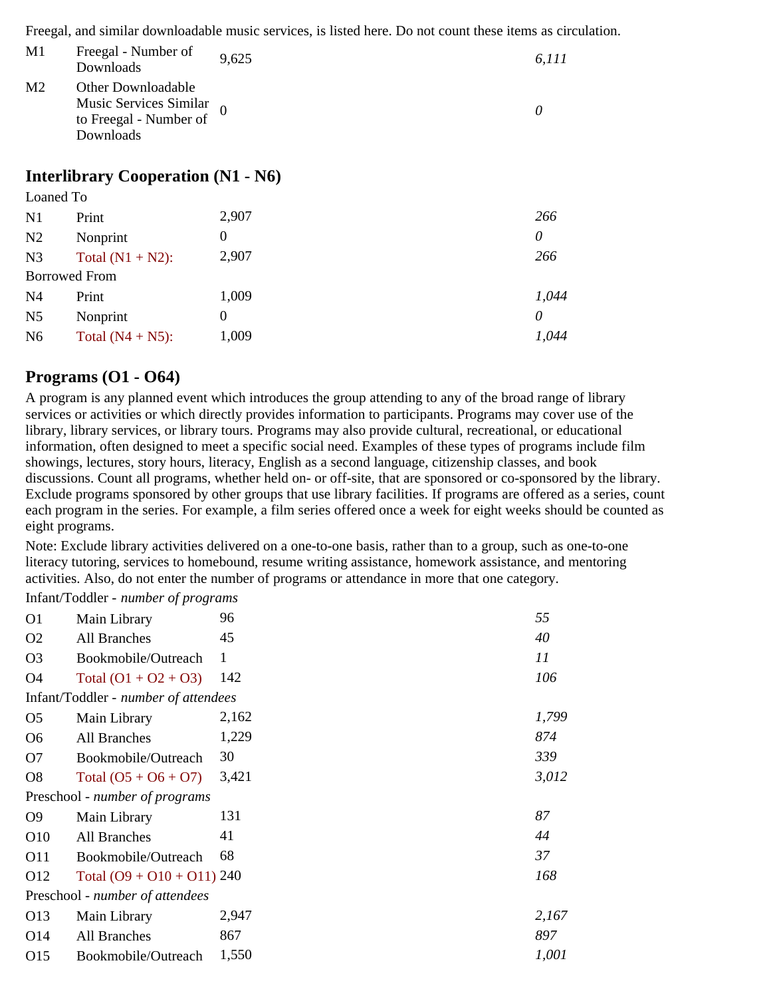Freegal, and similar downloadable music services, is listed here. Do not count these items as circulation.

| M1             | Freegal - Number of<br>Downloads                                                         | 9,625 | 6.111 |
|----------------|------------------------------------------------------------------------------------------|-------|-------|
| M <sub>2</sub> | Other Downloadable<br>Music Services Similar $_0$<br>to Freegal - Number of<br>Downloads |       |       |

## **Interlibrary Cooperation (N1 - N6)**

| Loaned To            |                     |                |          |
|----------------------|---------------------|----------------|----------|
| N1                   | Print               | 2,907          | 266      |
| N <sub>2</sub>       | Nonprint            | $\overline{0}$ | $\theta$ |
| N <sub>3</sub>       | Total $(N1 + N2)$ : | 2,907          | 266      |
| <b>Borrowed From</b> |                     |                |          |
| N <sub>4</sub>       | Print               | 1,009          | 1,044    |
| N <sub>5</sub>       | Nonprint            | $\theta$       | 0        |
| N <sub>6</sub>       | Total $(N4 + N5)$ : | 1,009          | 1,044    |

## **Programs (O1 - O64)**

A program is any planned event which introduces the group attending to any of the broad range of library services or activities or which directly provides information to participants. Programs may cover use of the library, library services, or library tours. Programs may also provide cultural, recreational, or educational information, often designed to meet a specific social need. Examples of these types of programs include film showings, lectures, story hours, literacy, English as a second language, citizenship classes, and book discussions. Count all programs, whether held on- or off-site, that are sponsored or co-sponsored by the library. Exclude programs sponsored by other groups that use library facilities. If programs are offered as a series, count each program in the series. For example, a film series offered once a week for eight weeks should be counted as eight programs.

Note: Exclude library activities delivered on a one-to-one basis, rather than to a group, such as one-to-one literacy tutoring, services to homebound, resume writing assistance, homework assistance, and mentoring activities. Also, do not enter the number of programs or attendance in more that one category.

Infant/Toddler - *number of programs*

| O <sub>1</sub>  | Main Library                         | 96    | 55    |
|-----------------|--------------------------------------|-------|-------|
| O <sub>2</sub>  | All Branches                         | 45    | 40    |
| O <sub>3</sub>  | Bookmobile/Outreach                  | 1     | 11    |
| O <sub>4</sub>  | Total $(01 + 02 + 03)$               | 142   | 106   |
|                 | Infant/Toddler - number of attendees |       |       |
| O <sub>5</sub>  | Main Library                         | 2,162 | 1,799 |
| O <sub>6</sub>  | All Branches                         | 1,229 | 874   |
| O <sub>7</sub>  | Bookmobile/Outreach                  | 30    | 339   |
| O8              | Total $(05 + 06 + 07)$               | 3,421 | 3,012 |
|                 | Preschool - number of programs       |       |       |
| O <sub>9</sub>  | Main Library                         | 131   | 87    |
| O10             | All Branches                         | 41    | 44    |
| O11             | Bookmobile/Outreach                  | 68    | 37    |
| O12             | Total $(09 + 010 + 011)$ 240         |       | 168   |
|                 | Preschool - number of attendees      |       |       |
| O13             | Main Library                         | 2,947 | 2,167 |
| O <sub>14</sub> | All Branches                         | 867   | 897   |
| O <sub>15</sub> | Bookmobile/Outreach                  | 1,550 | 1,001 |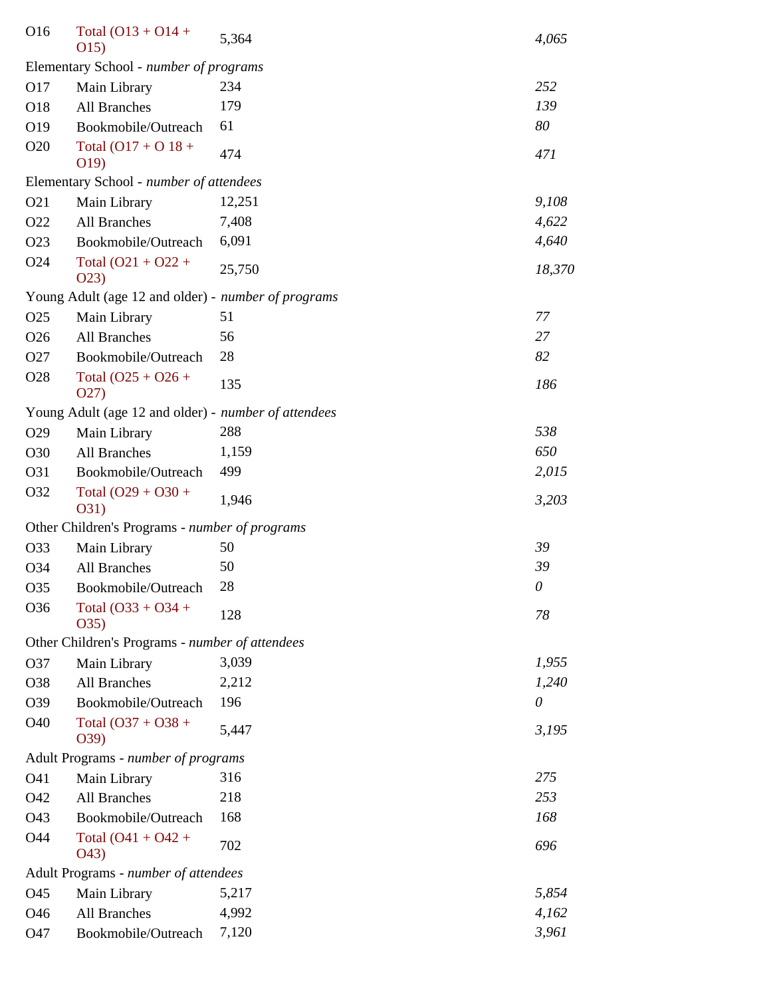| O16             | Total $(O13 + O14 +$<br>O(15)                        | 5,364  | 4,065  |
|-----------------|------------------------------------------------------|--------|--------|
|                 | Elementary School - number of programs               |        |        |
| O17             | Main Library                                         | 234    | 252    |
| O18             | <b>All Branches</b>                                  | 179    | 139    |
| O19             | Bookmobile/Outreach                                  | 61     | 80     |
| O20             | Total $(O17 + O18 +$<br>O19)                         | 474    | 471    |
|                 | Elementary School - number of attendees              |        |        |
| O21             | Main Library                                         | 12,251 | 9,108  |
| O <sub>22</sub> | <b>All Branches</b>                                  | 7,408  | 4,622  |
| O <sub>23</sub> | Bookmobile/Outreach                                  | 6,091  | 4,640  |
| O <sub>24</sub> | Total $(O21 + O22 +$<br>O(23)                        | 25,750 | 18,370 |
|                 | Young Adult (age 12 and older) - number of programs  |        |        |
| O <sub>25</sub> | Main Library                                         | 51     | 77     |
| O <sub>26</sub> | All Branches                                         | 56     | 27     |
| O <sub>27</sub> | Bookmobile/Outreach                                  | 28     | 82     |
| O <sub>28</sub> | Total $(O25 + O26 +$<br>O(27)                        | 135    | 186    |
|                 | Young Adult (age 12 and older) - number of attendees |        |        |
| O <sub>29</sub> | Main Library                                         | 288    | 538    |
| O30             | <b>All Branches</b>                                  | 1,159  | 650    |
| O31             | Bookmobile/Outreach                                  | 499    | 2,015  |
| O32             | Total $(O29 + O30 +$<br>O31)                         | 1,946  | 3,203  |
|                 | Other Children's Programs - number of programs       |        |        |
| O33             | Main Library                                         | 50     | 39     |
| O34             | All Branches                                         | 50     | 39     |
| O35             | Bookmobile/Outreach                                  | 28     | 0      |
| O36             | Total $(O33 + O34 +$<br>O(35)                        | 128    | 78     |
|                 | Other Children's Programs - number of attendees      |        |        |
| O37             | Main Library                                         | 3,039  | 1,955  |
| O38             | All Branches                                         | 2,212  | 1,240  |
| O39             | Bookmobile/Outreach                                  | 196    | 0      |
| O40             | Total $(O37 + O38 +$<br>039)                         | 5,447  | 3,195  |
|                 | Adult Programs - number of programs                  |        |        |
| O41             | Main Library                                         | 316    | 275    |
| O42             | All Branches                                         | 218    | 253    |
| O43             | Bookmobile/Outreach                                  | 168    | 168    |
| O44             | Total $(O41 + O42 +$<br>O43)                         | 702    | 696    |
|                 | Adult Programs - number of attendees                 |        |        |
| O45             | Main Library                                         | 5,217  | 5,854  |
| O46             | <b>All Branches</b>                                  | 4,992  | 4,162  |
| O47             | Bookmobile/Outreach                                  | 7,120  | 3,961  |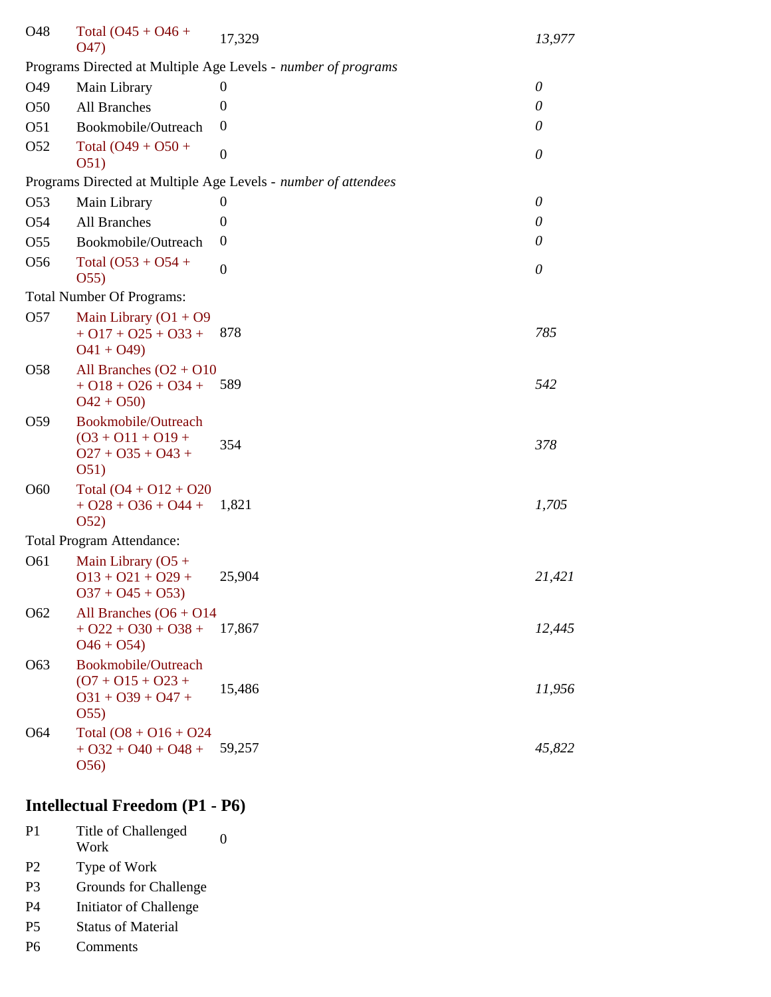| O48             | Total $(O45 + O46 +$<br>O47)                                                                | 17,329                                                         | 13,977   |
|-----------------|---------------------------------------------------------------------------------------------|----------------------------------------------------------------|----------|
|                 |                                                                                             | Programs Directed at Multiple Age Levels - number of programs  |          |
| O49             | Main Library                                                                                | 0                                                              | $\theta$ |
| O <sub>50</sub> | All Branches                                                                                | $\theta$                                                       | 0        |
| O <sub>51</sub> | Bookmobile/Outreach                                                                         | $\theta$                                                       | 0        |
| O <sub>52</sub> | Total $(O49 + O50 +$<br>O <sub>51</sub>                                                     | $\boldsymbol{0}$                                               | $\theta$ |
|                 |                                                                                             | Programs Directed at Multiple Age Levels - number of attendees |          |
| O <sub>53</sub> | Main Library                                                                                | $\theta$                                                       | $\theta$ |
| O <sub>54</sub> | All Branches                                                                                | 0                                                              | 0        |
| O <sub>55</sub> | Bookmobile/Outreach                                                                         | $\mathbf{0}$                                                   | $\theta$ |
| O <sub>56</sub> | Total $(O53 + O54 +$<br>O(55)                                                               | $\overline{0}$                                                 | $\theta$ |
|                 | <b>Total Number Of Programs:</b>                                                            |                                                                |          |
| O <sub>57</sub> | Main Library $(O1 + O9)$<br>$+$ O17 + O25 + O33 +<br>$O(41 + O(49))$                        | 878                                                            | 785      |
| O <sub>58</sub> | All Branches $(O2 + O10)$<br>$+$ O18 + O26 + O34 +<br>$O42 + O50$                           | 589                                                            | 542      |
| O <sub>59</sub> | <b>Bookmobile/Outreach</b><br>$(03 + 011 + 019 +$<br>$027 + 035 + 043 +$<br>O <sub>51</sub> | 354                                                            | 378      |
| O60             | Total $(O4 + O12 + O20)$<br>$+$ O28 + O36 + O44 +<br>O <sub>52</sub>                        | 1,821                                                          | 1,705    |
|                 | <b>Total Program Attendance:</b>                                                            |                                                                |          |
| O61             | Main Library $(O5 +$<br>$013 + 021 + 029 +$<br>$037 + 045 + 053$                            | 25,904                                                         | 21,421   |
| O <sub>62</sub> | All Branches $(06 + 014)$<br>$+$ O22 + O30 + O38 +<br>$O46 + O54$                           | 17,867                                                         | 12,445   |
| O <sub>63</sub> | Bookmobile/Outreach<br>$(07 + 015 + 023 +$<br>$031 + 039 + 047 +$<br>O(55)                  | 15,486                                                         | 11,956   |
| O <sub>64</sub> | Total $(08 + 016 + 024)$<br>$+032 + 040 + 048 +$<br>O(56)                                   | 59,257                                                         | 45,822   |

# **Intellectual Freedom (P1 - P6)**

| P1 | Title of Challenged |  |
|----|---------------------|--|
|    | Work                |  |

- P2 Type of Work
- P3 Grounds for Challenge
- P4 Initiator of Challenge
- P5 Status of Material
- P6 Comments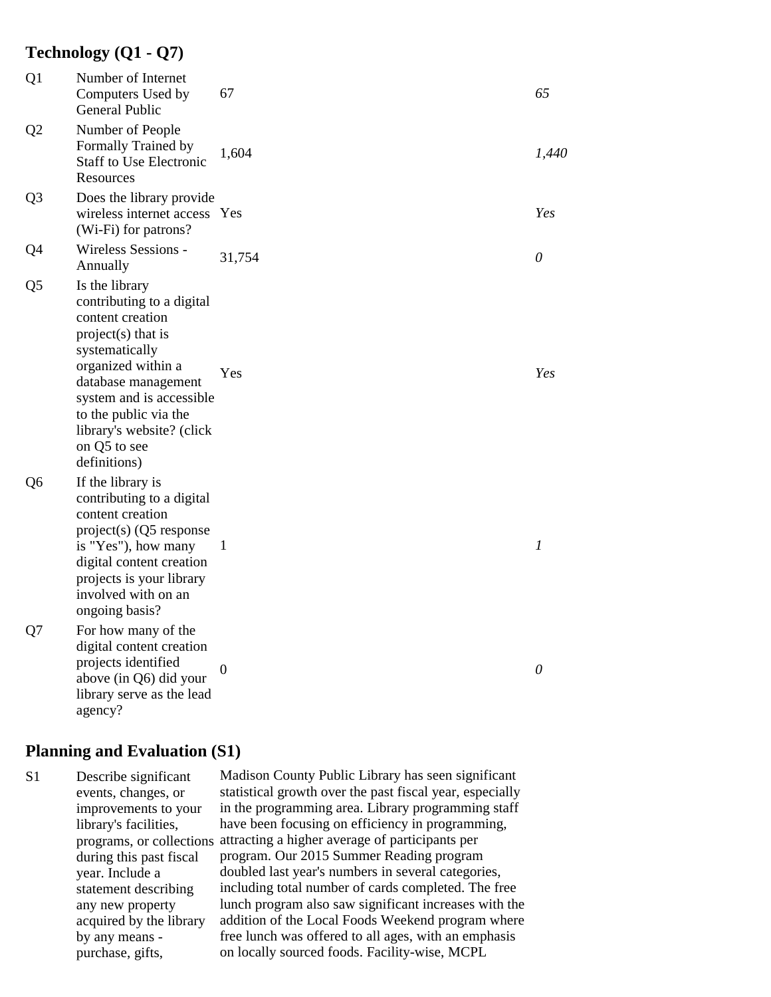## **Technology (Q1 - Q7)**

| Q1             | Number of Internet<br>Computers Used by<br>General Public                                                                                                                                                                                                              | 67     | 65               |
|----------------|------------------------------------------------------------------------------------------------------------------------------------------------------------------------------------------------------------------------------------------------------------------------|--------|------------------|
| Q <sub>2</sub> | Number of People<br>Formally Trained by<br><b>Staff to Use Electronic</b><br>Resources                                                                                                                                                                                 | 1,604  | 1,440            |
| Q <sub>3</sub> | Does the library provide<br>wireless internet access Yes<br>(Wi-Fi) for patrons?                                                                                                                                                                                       |        | Yes              |
| Q4             | Wireless Sessions -<br>Annually                                                                                                                                                                                                                                        | 31,754 | 0                |
| Q <sub>5</sub> | Is the library<br>contributing to a digital<br>content creation<br>project(s) that is<br>systematically<br>organized within a<br>database management<br>system and is accessible<br>to the public via the<br>library's website? (click<br>on Q5 to see<br>definitions) | Yes    | Yes              |
| Q <sub>6</sub> | If the library is<br>contributing to a digital<br>content creation<br>project(s) (Q5 response<br>is "Yes"), how many<br>digital content creation<br>projects is your library<br>involved with on an<br>ongoing basis?                                                  | 1      | $\boldsymbol{l}$ |
| Q7             | For how many of the<br>digital content creation<br>projects identified<br>above (in Q6) did your<br>library serve as the lead<br>agency?                                                                                                                               | 0      | $\theta$         |

## **Planning and Evaluation (S1)**

S1 Describe significant Madison County Public Library has seen significant events, changes, or statistical growth over the past fiscal year, especially improvements to your in the programming area. Library programming staff library's facilities, have been focusing on efficiency in programming, programs, or collections attracting a higher average of participants per during this past fiscal program. Our 2015 Summer Reading program year. Include a doubled last year's numbers in several categories, statement describing including total number of cards completed. The free any new property lunch program also saw significant increases with the acquired by the library addition of the Local Foods Weekend program where by any means - free lunch was offered to all ages, with an emphasis purchase, gifts, on locally sourced foods. Facility-wise, MCPL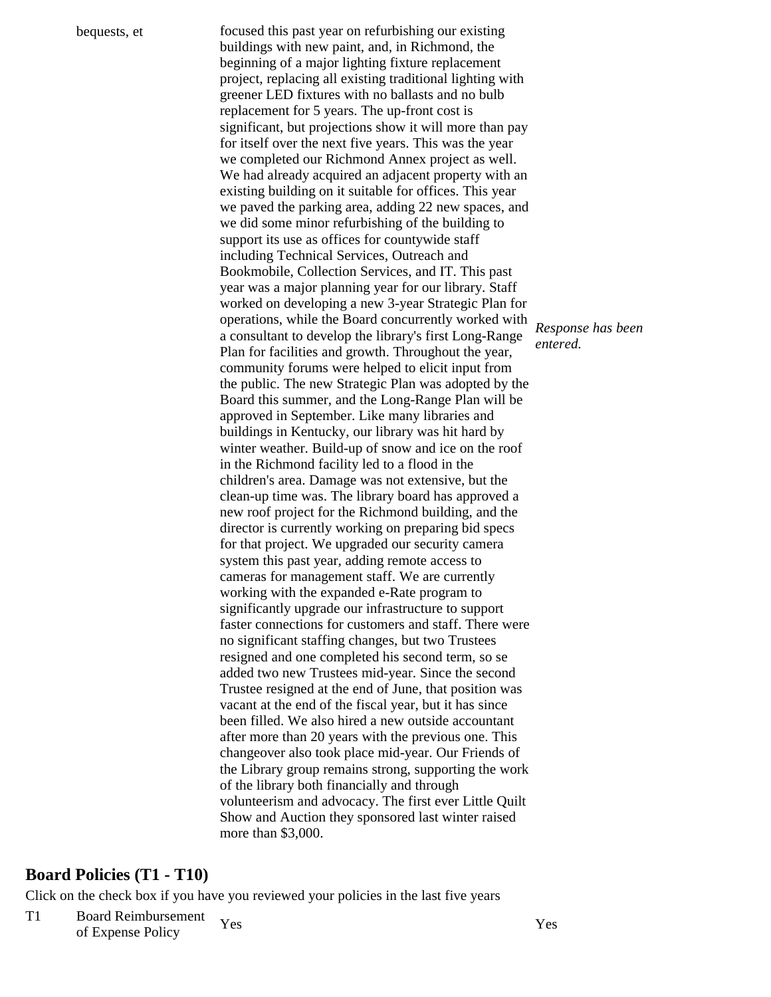bequests, et focused this past year on refurbishing our existing buildings with new paint, and, in Richmond, the beginning of a major lighting fixture replacement project, replacing all existing traditional lighting with greener LED fixtures with no ballasts and no bulb replacement for 5 years. The up-front cost is significant, but projections show it will more than pay for itself over the next five years. This was the year we completed our Richmond Annex project as well. We had already acquired an adjacent property with an existing building on it suitable for offices. This year we paved the parking area, adding 22 new spaces, and we did some minor refurbishing of the building to support its use as offices for countywide staff including Technical Services, Outreach and Bookmobile, Collection Services, and IT. This past year was a major planning year for our library. Staff worked on developing a new 3-year Strategic Plan for operations, while the Board concurrently worked with *Response has been* a consultant to develop the library's first Long-Range *entered.* Plan for facilities and growth. Throughout the year, community forums were helped to elicit input from the public. The new Strategic Plan was adopted by the Board this summer, and the Long-Range Plan will be approved in September. Like many libraries and buildings in Kentucky, our library was hit hard by winter weather. Build-up of snow and ice on the roof in the Richmond facility led to a flood in the children's area. Damage was not extensive, but the clean-up time was. The library board has approved a new roof project for the Richmond building, and the director is currently working on preparing bid specs for that project. We upgraded our security camera system this past year, adding remote access to cameras for management staff. We are currently working with the expanded e-Rate program to significantly upgrade our infrastructure to support faster connections for customers and staff. There were no significant staffing changes, but two Trustees resigned and one completed his second term, so se added two new Trustees mid-year. Since the second Trustee resigned at the end of June, that position was vacant at the end of the fiscal year, but it has since been filled. We also hired a new outside accountant after more than 20 years with the previous one. This changeover also took place mid-year. Our Friends of the Library group remains strong, supporting the work of the library both financially and through volunteerism and advocacy. The first ever Little Quilt Show and Auction they sponsored last winter raised more than \$3,000.

## **Board Policies (T1 - T10)**

Click on the check box if you have you reviewed your policies in the last five years

T1 Board Reimbursement Yes Yes<br>
of Expense Policy Yes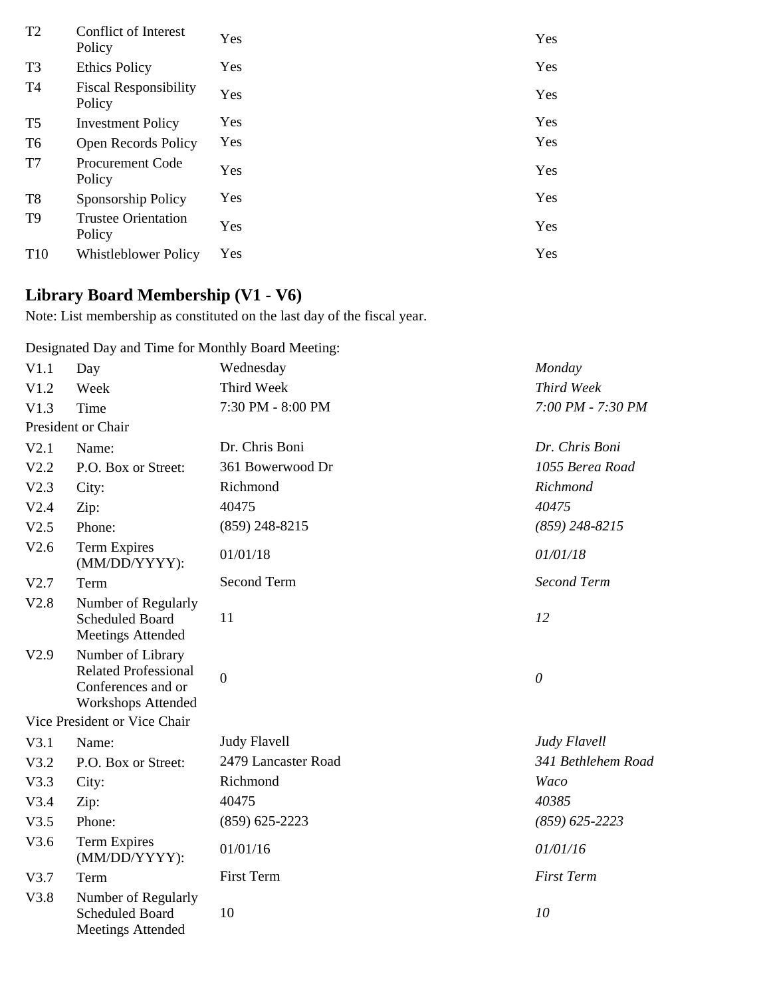| T2              | Conflict of Interest<br>Policy         | Yes | Yes |
|-----------------|----------------------------------------|-----|-----|
| T <sub>3</sub>  | <b>Ethics Policy</b>                   | Yes | Yes |
| T4              | <b>Fiscal Responsibility</b><br>Policy | Yes | Yes |
| T5              | <b>Investment Policy</b>               | Yes | Yes |
| T6              | <b>Open Records Policy</b>             | Yes | Yes |
| T7              | <b>Procurement Code</b><br>Policy      | Yes | Yes |
| T <sub>8</sub>  | Sponsorship Policy                     | Yes | Yes |
| T9              | <b>Trustee Orientation</b><br>Policy   | Yes | Yes |
| T <sub>10</sub> | Whistleblower Policy                   | Yes | Yes |
|                 |                                        |     |     |

# **Library Board Membership (V1 - V6)**

Note: List membership as constituted on the last day of the fiscal year.

Designated Day and Time for Monthly Board Meeting:

| V1.1 | Day                                                                                                 | Wednesday           | Monday             |
|------|-----------------------------------------------------------------------------------------------------|---------------------|--------------------|
| V1.2 | Week                                                                                                | Third Week          | Third Week         |
| V1.3 | Time                                                                                                | 7:30 PM - 8:00 PM   | 7:00 PM - 7:30 PM  |
|      | President or Chair                                                                                  |                     |                    |
| V2.1 | Name:                                                                                               | Dr. Chris Boni      | Dr. Chris Boni     |
| V2.2 | P.O. Box or Street:                                                                                 | 361 Bowerwood Dr    | 1055 Berea Road    |
| V2.3 | City:                                                                                               | Richmond            | Richmond           |
| V2.4 | Zip:                                                                                                | 40475               | 40475              |
| V2.5 | Phone:                                                                                              | $(859)$ 248-8215    | $(859)$ 248-8215   |
| V2.6 | <b>Term Expires</b><br>(MM/DD/YYYY):                                                                | 01/01/18            | 01/01/18           |
| V2.7 | Term                                                                                                | Second Term         | <b>Second Term</b> |
| V2.8 | Number of Regularly<br>Scheduled Board<br><b>Meetings Attended</b>                                  | 11                  | 12                 |
| V2.9 | Number of Library<br><b>Related Professional</b><br>Conferences and or<br><b>Workshops Attended</b> | $\boldsymbol{0}$    | $\theta$           |
|      | Vice President or Vice Chair                                                                        |                     |                    |
| V3.1 | Name:                                                                                               | <b>Judy Flavell</b> | Judy Flavell       |
| V3.2 | P.O. Box or Street:                                                                                 | 2479 Lancaster Road | 341 Bethlehem Road |
| V3.3 | City:                                                                                               | Richmond            | Waco               |
| V3.4 | Zip:                                                                                                | 40475               | 40385              |
| V3.5 | Phone:                                                                                              | $(859)$ 625-2223    | $(859) 625 - 2223$ |
| V3.6 | Term Expires<br>(MM/DD/YYYY):                                                                       | 01/01/16            | 01/01/16           |
| V3.7 | Term                                                                                                | First Term          | <b>First Term</b>  |
| V3.8 | Number of Regularly<br><b>Scheduled Board</b><br><b>Meetings Attended</b>                           | 10                  | 10                 |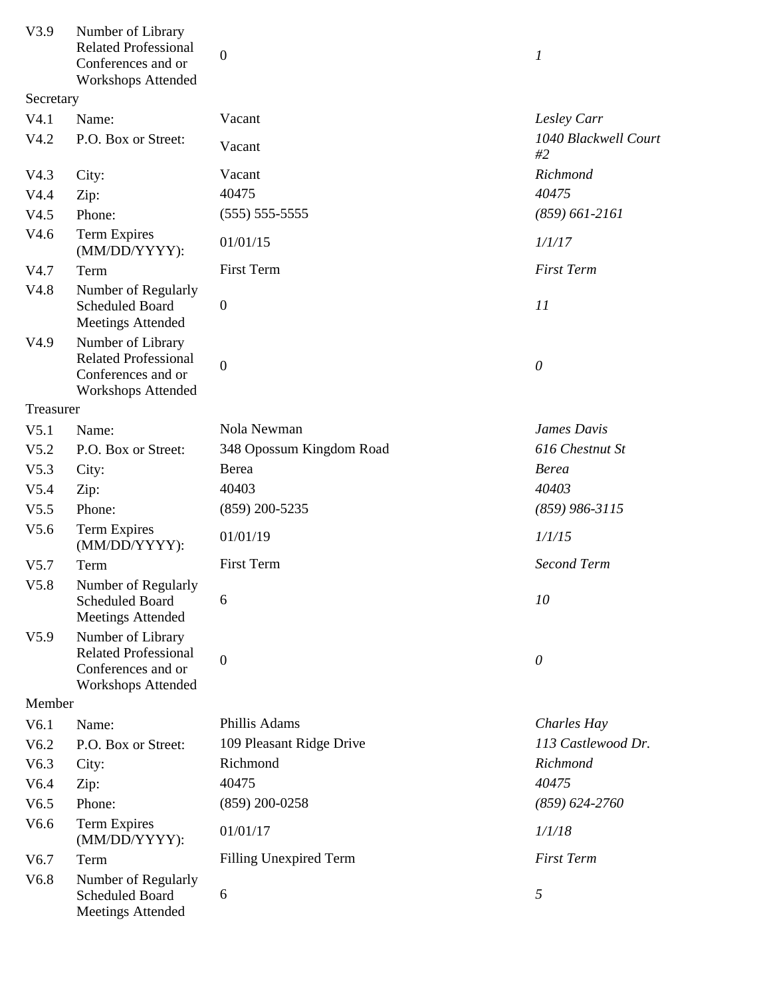| V3.9      | Number of Library<br><b>Related Professional</b><br>Conferences and or<br><b>Workshops Attended</b> | $\overline{0}$                | $\boldsymbol{l}$           |
|-----------|-----------------------------------------------------------------------------------------------------|-------------------------------|----------------------------|
| Secretary |                                                                                                     |                               |                            |
| V4.1      | Name:                                                                                               | Vacant                        | Lesley Carr                |
| V4.2      | P.O. Box or Street:                                                                                 | Vacant                        | 1040 Blackwell Court<br>#2 |
| V4.3      | City:                                                                                               | Vacant                        | Richmond                   |
| V4.4      | Zip:                                                                                                | 40475                         | 40475                      |
| V4.5      | Phone:                                                                                              | $(555) 555-5555$              | $(859)$ 661-2161           |
| V4.6      | <b>Term Expires</b><br>(MM/DD/YYYY):                                                                | 01/01/15                      | 1/1/17                     |
| V4.7      | Term                                                                                                | First Term                    | <b>First Term</b>          |
| V4.8      | Number of Regularly<br>Scheduled Board<br><b>Meetings Attended</b>                                  | $\boldsymbol{0}$              | 11                         |
| V4.9      | Number of Library<br><b>Related Professional</b><br>Conferences and or<br><b>Workshops Attended</b> | $\overline{0}$                | $\theta$                   |
| Treasurer |                                                                                                     |                               |                            |
| V5.1      | Name:                                                                                               | Nola Newman                   | James Davis                |
| V5.2      | P.O. Box or Street:                                                                                 | 348 Opossum Kingdom Road      | 616 Chestnut St            |
| V5.3      | City:                                                                                               | Berea                         | <b>Berea</b>               |
| V5.4      | Zip:                                                                                                | 40403                         | 40403                      |
| V5.5      | Phone:                                                                                              | $(859)$ 200-5235              | $(859)$ 986-3115           |
| V5.6      | Term Expires<br>(MM/DD/YYYY):                                                                       | 01/01/19                      | 1/1/15                     |
| V5.7      | Term                                                                                                | First Term                    | <b>Second Term</b>         |
| V5.8      | Number of Regularly<br>Scheduled Board<br><b>Meetings Attended</b>                                  | 6                             | 10                         |
| V5.9      | Number of Library<br><b>Related Professional</b><br>Conferences and or<br><b>Workshops Attended</b> | $\overline{0}$                | $\theta$                   |
| Member    |                                                                                                     |                               |                            |
| V6.1      | Name:                                                                                               | Phillis Adams                 | <b>Charles Hay</b>         |
| V6.2      | P.O. Box or Street:                                                                                 | 109 Pleasant Ridge Drive      | 113 Castlewood Dr.         |
| V6.3      | City:                                                                                               | Richmond                      | Richmond                   |
| V6.4      | Zip:                                                                                                | 40475                         | 40475                      |
| V6.5      | Phone:                                                                                              | $(859)$ 200-0258              | $(859) 624 - 2760$         |
| V6.6      | <b>Term Expires</b><br>(MM/DD/YYYY):                                                                | 01/01/17                      | 1/1/18                     |
| V6.7      | Term                                                                                                | <b>Filling Unexpired Term</b> | <b>First Term</b>          |
| V6.8      | Number of Regularly<br>Scheduled Board<br><b>Meetings Attended</b>                                  | 6                             | 5                          |